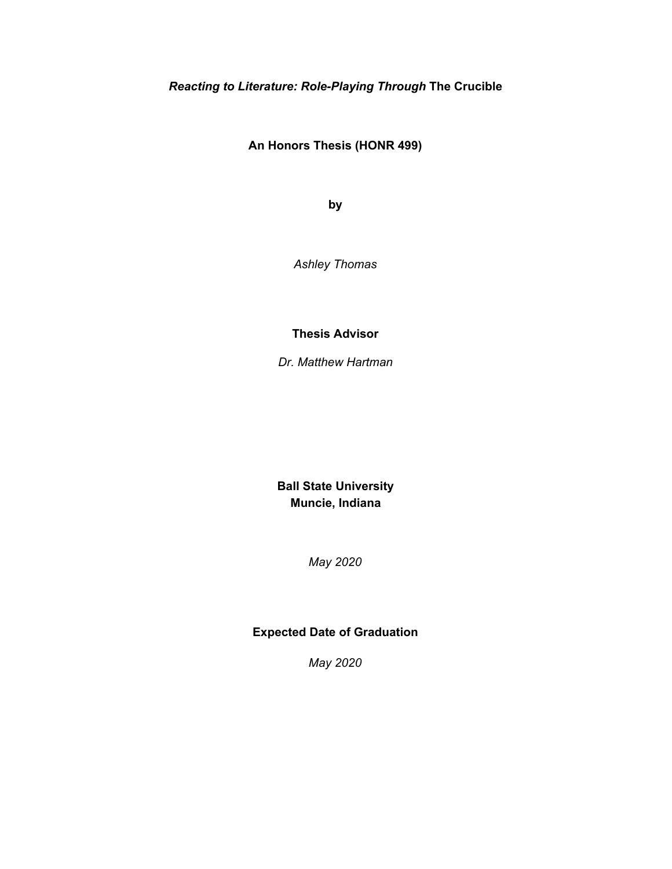*Reacting to Literature: Role-Playing Through* **The Crucible**

**An Honors Thesis (HONR 499)**

**by**

*Ashley Thomas*

**Thesis Advisor**

*Dr. Matthew Hartman*

**Ball State University Muncie, Indiana**

*May 2020*

### **Expected Date of Graduation**

*May 2020*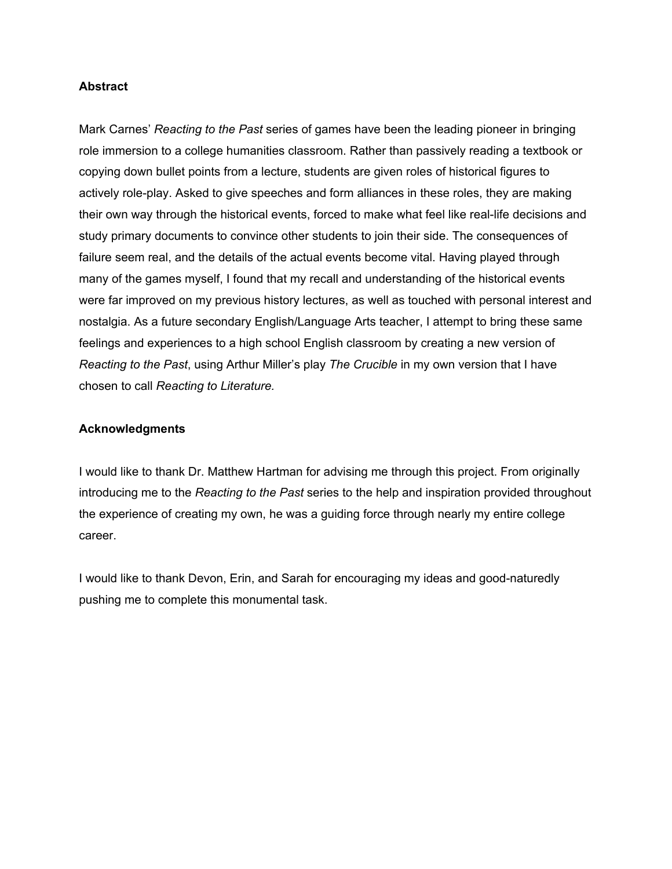#### **Abstract**

Mark Carnes' *Reacting to the Past* series of games have been the leading pioneer in bringing role immersion to a college humanities classroom. Rather than passively reading a textbook or copying down bullet points from a lecture, students are given roles of historical figures to actively role-play. Asked to give speeches and form alliances in these roles, they are making their own way through the historical events, forced to make what feel like real-life decisions and study primary documents to convince other students to join their side. The consequences of failure seem real, and the details of the actual events become vital. Having played through many of the games myself, I found that my recall and understanding of the historical events were far improved on my previous history lectures, as well as touched with personal interest and nostalgia. As a future secondary English/Language Arts teacher, I attempt to bring these same feelings and experiences to a high school English classroom by creating a new version of *Reacting to the Past*, using Arthur Miller's play *The Crucible* in my own version that I have chosen to call *Reacting to Literature.*

#### **Acknowledgments**

I would like to thank Dr. Matthew Hartman for advising me through this project. From originally introducing me to the *Reacting to the Past* series to the help and inspiration provided throughout the experience of creating my own, he was a guiding force through nearly my entire college career.

I would like to thank Devon, Erin, and Sarah for encouraging my ideas and good-naturedly pushing me to complete this monumental task.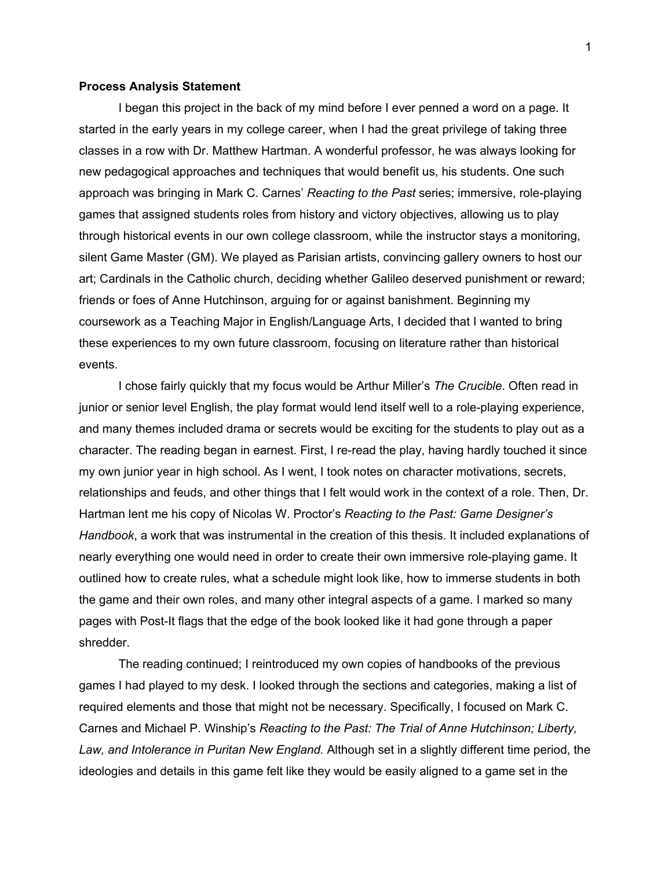#### **Process Analysis Statement**

I began this project in the back of my mind before I ever penned a word on a page. It started in the early years in my college career, when I had the great privilege of taking three classes in a row with Dr. Matthew Hartman. A wonderful professor, he was always looking for new pedagogical approaches and techniques that would benefit us, his students. One such approach was bringing in Mark C. Carnes' *Reacting to the Past* series; immersive, role-playing games that assigned students roles from history and victory objectives, allowing us to play through historical events in our own college classroom, while the instructor stays a monitoring, silent Game Master (GM). We played as Parisian artists, convincing gallery owners to host our art; Cardinals in the Catholic church, deciding whether Galileo deserved punishment or reward; friends or foes of Anne Hutchinson, arguing for or against banishment. Beginning my coursework as a Teaching Major in English/Language Arts, I decided that I wanted to bring these experiences to my own future classroom, focusing on literature rather than historical events.

I chose fairly quickly that my focus would be Arthur Miller's *The Crucible*. Often read in junior or senior level English, the play format would lend itself well to a role-playing experience, and many themes included drama or secrets would be exciting for the students to play out as a character. The reading began in earnest. First, I re-read the play, having hardly touched it since my own junior year in high school. As I went, I took notes on character motivations, secrets, relationships and feuds, and other things that I felt would work in the context of a role. Then, Dr. Hartman lent me his copy of Nicolas W. Proctor's *Reacting to the Past: Game Designer's Handbook*, a work that was instrumental in the creation of this thesis. It included explanations of nearly everything one would need in order to create their own immersive role-playing game. It outlined how to create rules, what a schedule might look like, how to immerse students in both the game and their own roles, and many other integral aspects of a game. I marked so many pages with Post-It flags that the edge of the book looked like it had gone through a paper shredder.

The reading continued; I reintroduced my own copies of handbooks of the previous games I had played to my desk. I looked through the sections and categories, making a list of required elements and those that might not be necessary. Specifically, I focused on Mark C. Carnes and Michael P. Winship's *Reacting to the Past: The Trial of Anne Hutchinson; Liberty, Law, and Intolerance in Puritan New England.* Although set in a slightly different time period, the ideologies and details in this game felt like they would be easily aligned to a game set in the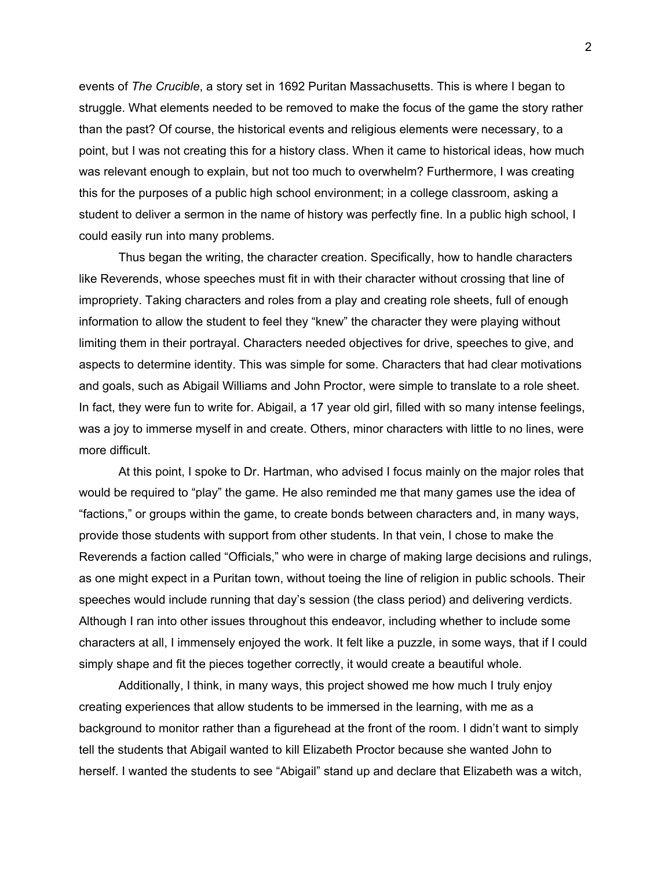events of *The Crucible*, a story set in 1692 Puritan Massachusetts. This is where I began to struggle. What elements needed to be removed to make the focus of the game the story rather than the past? Of course, the historical events and religious elements were necessary, to a point, but I was not creating this for a history class. When it came to historical ideas, how much was relevant enough to explain, but not too much to overwhelm? Furthermore, I was creating this for the purposes of a public high school environment; in a college classroom, asking a student to deliver a sermon in the name of history was perfectly fine. In a public high school, I could easily run into many problems.

Thus began the writing, the character creation. Specifically, how to handle characters like Reverends, whose speeches must fit in with their character without crossing that line of impropriety. Taking characters and roles from a play and creating role sheets, full of enough information to allow the student to feel they "knew" the character they were playing without limiting them in their portrayal. Characters needed objectives for drive, speeches to give, and aspects to determine identity. This was simple for some. Characters that had clear motivations and goals, such as Abigail Williams and John Proctor, were simple to translate to a role sheet. In fact, they were fun to write for. Abigail, a 17 year old girl, filled with so many intense feelings, was a joy to immerse myself in and create. Others, minor characters with little to no lines, were more difficult.

At this point, I spoke to Dr. Hartman, who advised I focus mainly on the major roles that would be required to "play" the game. He also reminded me that many games use the idea of "factions," or groups within the game, to create bonds between characters and, in many ways, provide those students with support from other students. In that vein, I chose to make the Reverends a faction called "Officials," who were in charge of making large decisions and rulings, as one might expect in a Puritan town, without toeing the line of religion in public schools. Their speeches would include running that day's session (the class period) and delivering verdicts. Although I ran into other issues throughout this endeavor, including whether to include some characters at all, I immensely enjoyed the work. It felt like a puzzle, in some ways, that if I could simply shape and fit the pieces together correctly, it would create a beautiful whole.

Additionally, I think, in many ways, this project showed me how much I truly enjoy creating experiences that allow students to be immersed in the learning, with me as a background to monitor rather than a figurehead at the front of the room. I didn't want to simply tell the students that Abigail wanted to kill Elizabeth Proctor because she wanted John to herself. I wanted the students to see "Abigail" stand up and declare that Elizabeth was a witch,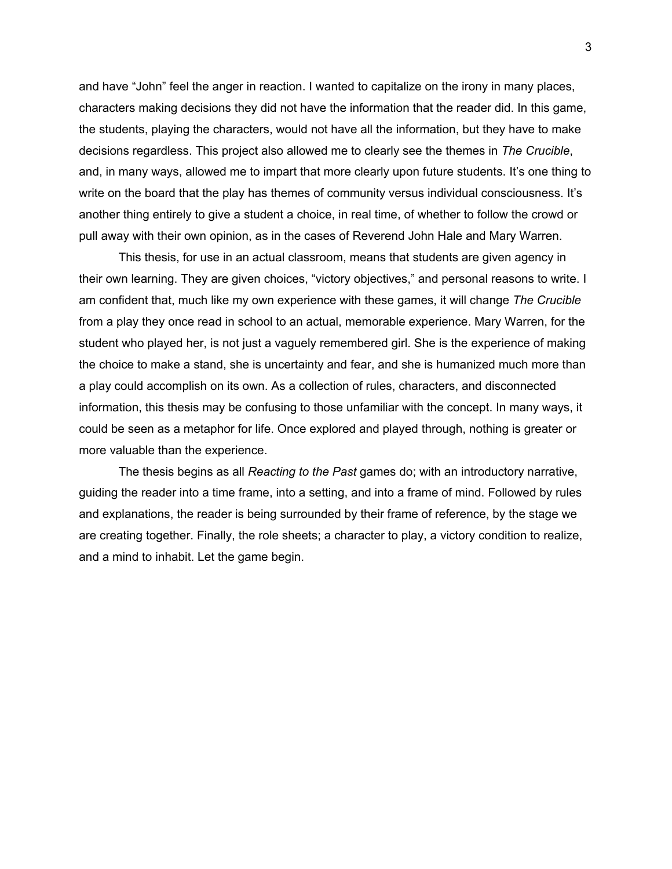and have "John" feel the anger in reaction. I wanted to capitalize on the irony in many places, characters making decisions they did not have the information that the reader did. In this game, the students, playing the characters, would not have all the information, but they have to make decisions regardless. This project also allowed me to clearly see the themes in *The Crucible*, and, in many ways, allowed me to impart that more clearly upon future students. It's one thing to write on the board that the play has themes of community versus individual consciousness. It's another thing entirely to give a student a choice, in real time, of whether to follow the crowd or pull away with their own opinion, as in the cases of Reverend John Hale and Mary Warren.

This thesis, for use in an actual classroom, means that students are given agency in their own learning. They are given choices, "victory objectives," and personal reasons to write. I am confident that, much like my own experience with these games, it will change *The Crucible* from a play they once read in school to an actual, memorable experience. Mary Warren, for the student who played her, is not just a vaguely remembered girl. She is the experience of making the choice to make a stand, she is uncertainty and fear, and she is humanized much more than a play could accomplish on its own. As a collection of rules, characters, and disconnected information, this thesis may be confusing to those unfamiliar with the concept. In many ways, it could be seen as a metaphor for life. Once explored and played through, nothing is greater or more valuable than the experience.

The thesis begins as all *Reacting to the Past* games do; with an introductory narrative, guiding the reader into a time frame, into a setting, and into a frame of mind. Followed by rules and explanations, the reader is being surrounded by their frame of reference, by the stage we are creating together. Finally, the role sheets; a character to play, a victory condition to realize, and a mind to inhabit. Let the game begin.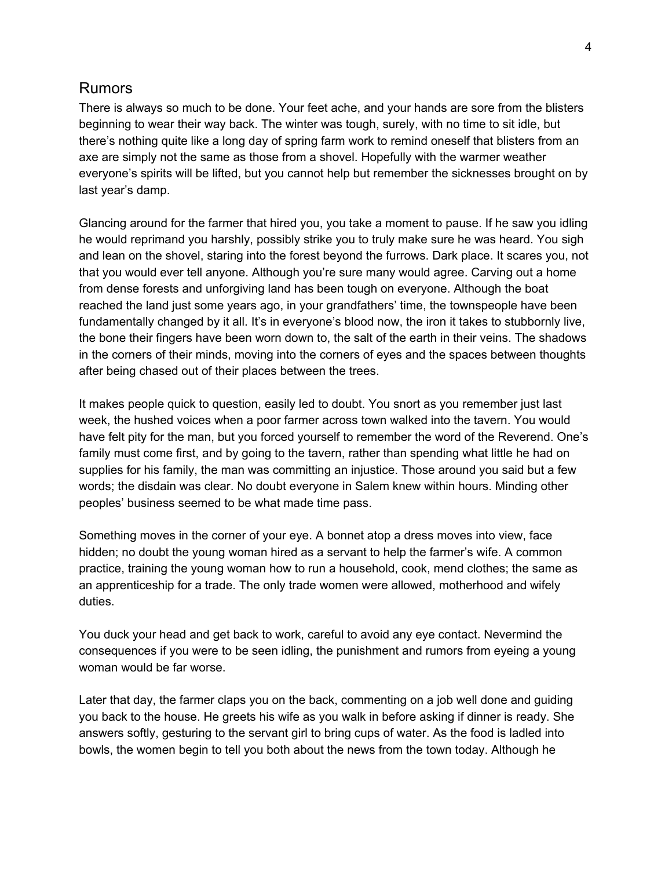# Rumors

There is always so much to be done. Your feet ache, and your hands are sore from the blisters beginning to wear their way back. The winter was tough, surely, with no time to sit idle, but there's nothing quite like a long day of spring farm work to remind oneself that blisters from an axe are simply not the same as those from a shovel. Hopefully with the warmer weather everyone's spirits will be lifted, but you cannot help but remember the sicknesses brought on by last year's damp.

Glancing around for the farmer that hired you, you take a moment to pause. If he saw you idling he would reprimand you harshly, possibly strike you to truly make sure he was heard. You sigh and lean on the shovel, staring into the forest beyond the furrows. Dark place. It scares you, not that you would ever tell anyone. Although you're sure many would agree. Carving out a home from dense forests and unforgiving land has been tough on everyone. Although the boat reached the land just some years ago, in your grandfathers' time, the townspeople have been fundamentally changed by it all. It's in everyone's blood now, the iron it takes to stubbornly live, the bone their fingers have been worn down to, the salt of the earth in their veins. The shadows in the corners of their minds, moving into the corners of eyes and the spaces between thoughts after being chased out of their places between the trees.

It makes people quick to question, easily led to doubt. You snort as you remember just last week, the hushed voices when a poor farmer across town walked into the tavern. You would have felt pity for the man, but you forced yourself to remember the word of the Reverend. One's family must come first, and by going to the tavern, rather than spending what little he had on supplies for his family, the man was committing an injustice. Those around you said but a few words; the disdain was clear. No doubt everyone in Salem knew within hours. Minding other peoples' business seemed to be what made time pass.

Something moves in the corner of your eye. A bonnet atop a dress moves into view, face hidden; no doubt the young woman hired as a servant to help the farmer's wife. A common practice, training the young woman how to run a household, cook, mend clothes; the same as an apprenticeship for a trade. The only trade women were allowed, motherhood and wifely duties.

You duck your head and get back to work, careful to avoid any eye contact. Nevermind the consequences if you were to be seen idling, the punishment and rumors from eyeing a young woman would be far worse.

Later that day, the farmer claps you on the back, commenting on a job well done and guiding you back to the house. He greets his wife as you walk in before asking if dinner is ready. She answers softly, gesturing to the servant girl to bring cups of water. As the food is ladled into bowls, the women begin to tell you both about the news from the town today. Although he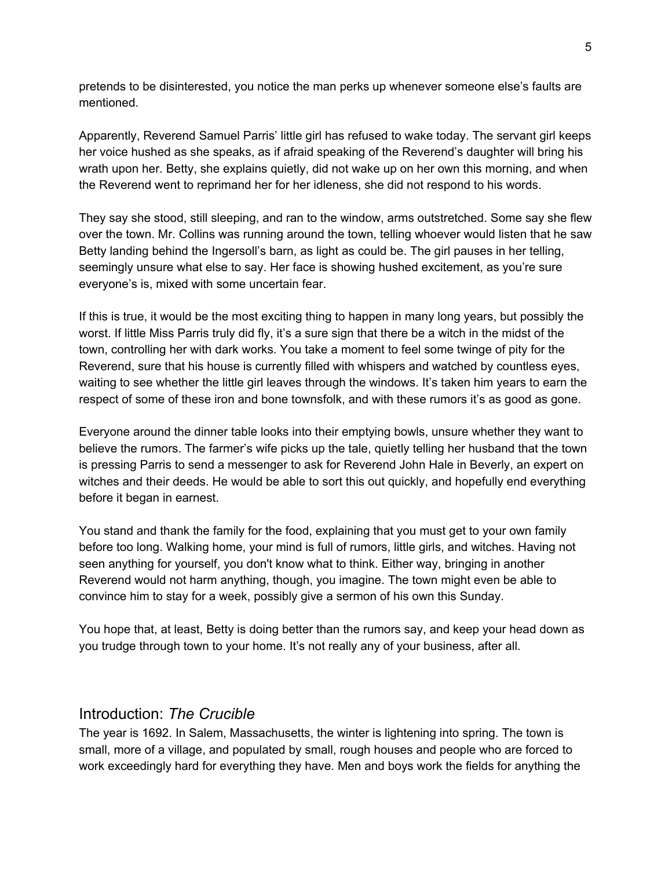pretends to be disinterested, you notice the man perks up whenever someone else's faults are mentioned.

Apparently, Reverend Samuel Parris' little girl has refused to wake today. The servant girl keeps her voice hushed as she speaks, as if afraid speaking of the Reverend's daughter will bring his wrath upon her. Betty, she explains quietly, did not wake up on her own this morning, and when the Reverend went to reprimand her for her idleness, she did not respond to his words.

They say she stood, still sleeping, and ran to the window, arms outstretched. Some say she flew over the town. Mr. Collins was running around the town, telling whoever would listen that he saw Betty landing behind the Ingersoll's barn, as light as could be. The girl pauses in her telling, seemingly unsure what else to say. Her face is showing hushed excitement, as you're sure everyone's is, mixed with some uncertain fear.

If this is true, it would be the most exciting thing to happen in many long years, but possibly the worst. If little Miss Parris truly did fly, it's a sure sign that there be a witch in the midst of the town, controlling her with dark works. You take a moment to feel some twinge of pity for the Reverend, sure that his house is currently filled with whispers and watched by countless eyes, waiting to see whether the little girl leaves through the windows. It's taken him years to earn the respect of some of these iron and bone townsfolk, and with these rumors it's as good as gone.

Everyone around the dinner table looks into their emptying bowls, unsure whether they want to believe the rumors. The farmer's wife picks up the tale, quietly telling her husband that the town is pressing Parris to send a messenger to ask for Reverend John Hale in Beverly, an expert on witches and their deeds. He would be able to sort this out quickly, and hopefully end everything before it began in earnest.

You stand and thank the family for the food, explaining that you must get to your own family before too long. Walking home, your mind is full of rumors, little girls, and witches. Having not seen anything for yourself, you don't know what to think. Either way, bringing in another Reverend would not harm anything, though, you imagine. The town might even be able to convince him to stay for a week, possibly give a sermon of his own this Sunday.

You hope that, at least, Betty is doing better than the rumors say, and keep your head down as you trudge through town to your home. It's not really any of your business, after all.

### Introduction: *The Crucible*

The year is 1692. In Salem, Massachusetts, the winter is lightening into spring. The town is small, more of a village, and populated by small, rough houses and people who are forced to work exceedingly hard for everything they have. Men and boys work the fields for anything the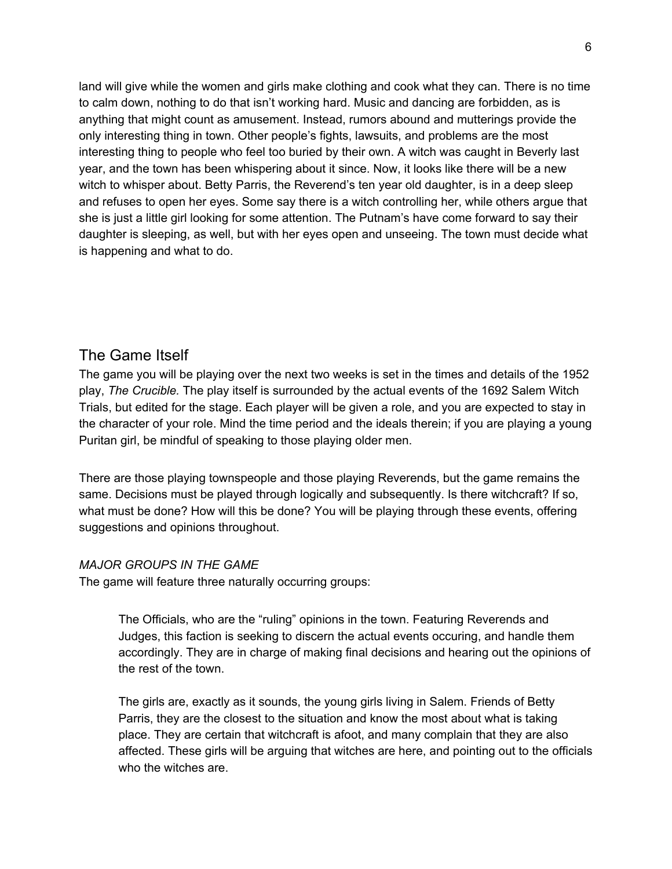land will give while the women and girls make clothing and cook what they can. There is no time to calm down, nothing to do that isn't working hard. Music and dancing are forbidden, as is anything that might count as amusement. Instead, rumors abound and mutterings provide the only interesting thing in town. Other people's fights, lawsuits, and problems are the most interesting thing to people who feel too buried by their own. A witch was caught in Beverly last year, and the town has been whispering about it since. Now, it looks like there will be a new witch to whisper about. Betty Parris, the Reverend's ten year old daughter, is in a deep sleep and refuses to open her eyes. Some say there is a witch controlling her, while others argue that she is just a little girl looking for some attention. The Putnam's have come forward to say their daughter is sleeping, as well, but with her eyes open and unseeing. The town must decide what is happening and what to do.

### The Game Itself

The game you will be playing over the next two weeks is set in the times and details of the 1952 play, *The Crucible.* The play itself is surrounded by the actual events of the 1692 Salem Witch Trials, but edited for the stage. Each player will be given a role, and you are expected to stay in the character of your role. Mind the time period and the ideals therein; if you are playing a young Puritan girl, be mindful of speaking to those playing older men.

There are those playing townspeople and those playing Reverends, but the game remains the same. Decisions must be played through logically and subsequently. Is there witchcraft? If so, what must be done? How will this be done? You will be playing through these events, offering suggestions and opinions throughout.

#### *MAJOR GROUPS IN THE GAME*

The game will feature three naturally occurring groups:

The Officials, who are the "ruling" opinions in the town. Featuring Reverends and Judges, this faction is seeking to discern the actual events occuring, and handle them accordingly. They are in charge of making final decisions and hearing out the opinions of the rest of the town.

The girls are, exactly as it sounds, the young girls living in Salem. Friends of Betty Parris, they are the closest to the situation and know the most about what is taking place. They are certain that witchcraft is afoot, and many complain that they are also affected. These girls will be arguing that witches are here, and pointing out to the officials who the witches are.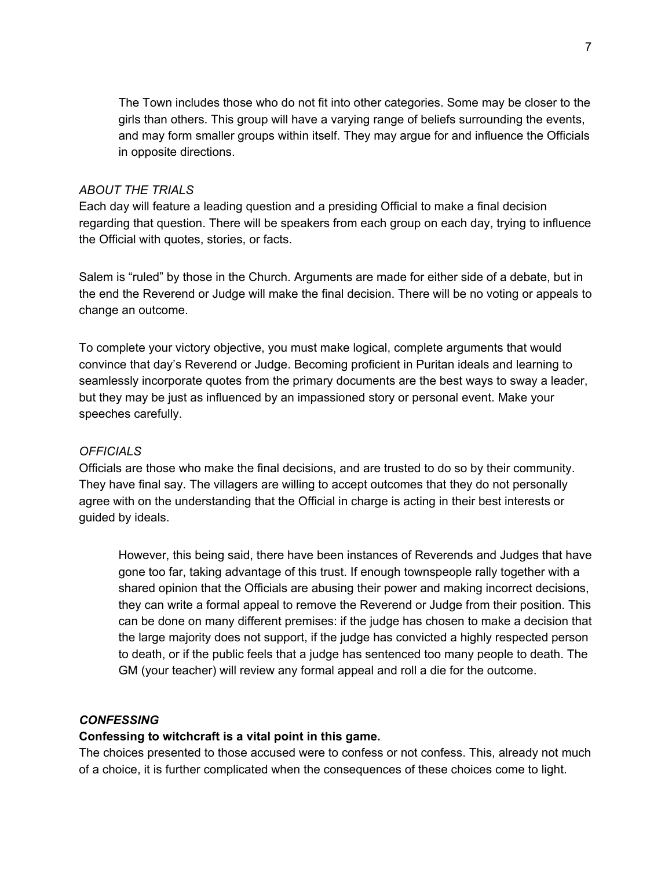The Town includes those who do not fit into other categories. Some may be closer to the girls than others. This group will have a varying range of beliefs surrounding the events, and may form smaller groups within itself. They may argue for and influence the Officials in opposite directions.

#### *ABOUT THE TRIALS*

Each day will feature a leading question and a presiding Official to make a final decision regarding that question. There will be speakers from each group on each day, trying to influence the Official with quotes, stories, or facts.

Salem is "ruled" by those in the Church. Arguments are made for either side of a debate, but in the end the Reverend or Judge will make the final decision. There will be no voting or appeals to change an outcome.

To complete your victory objective, you must make logical, complete arguments that would convince that day's Reverend or Judge. Becoming proficient in Puritan ideals and learning to seamlessly incorporate quotes from the primary documents are the best ways to sway a leader, but they may be just as influenced by an impassioned story or personal event. Make your speeches carefully.

#### *OFFICIALS*

Officials are those who make the final decisions, and are trusted to do so by their community. They have final say. The villagers are willing to accept outcomes that they do not personally agree with on the understanding that the Official in charge is acting in their best interests or guided by ideals.

However, this being said, there have been instances of Reverends and Judges that have gone too far, taking advantage of this trust. If enough townspeople rally together with a shared opinion that the Officials are abusing their power and making incorrect decisions, they can write a formal appeal to remove the Reverend or Judge from their position. This can be done on many different premises: if the judge has chosen to make a decision that the large majority does not support, if the judge has convicted a highly respected person to death, or if the public feels that a judge has sentenced too many people to death. The GM (your teacher) will review any formal appeal and roll a die for the outcome.

#### *CONFESSING*

#### **Confessing to witchcraft is a vital point in this game.**

The choices presented to those accused were to confess or not confess. This, already not much of a choice, it is further complicated when the consequences of these choices come to light.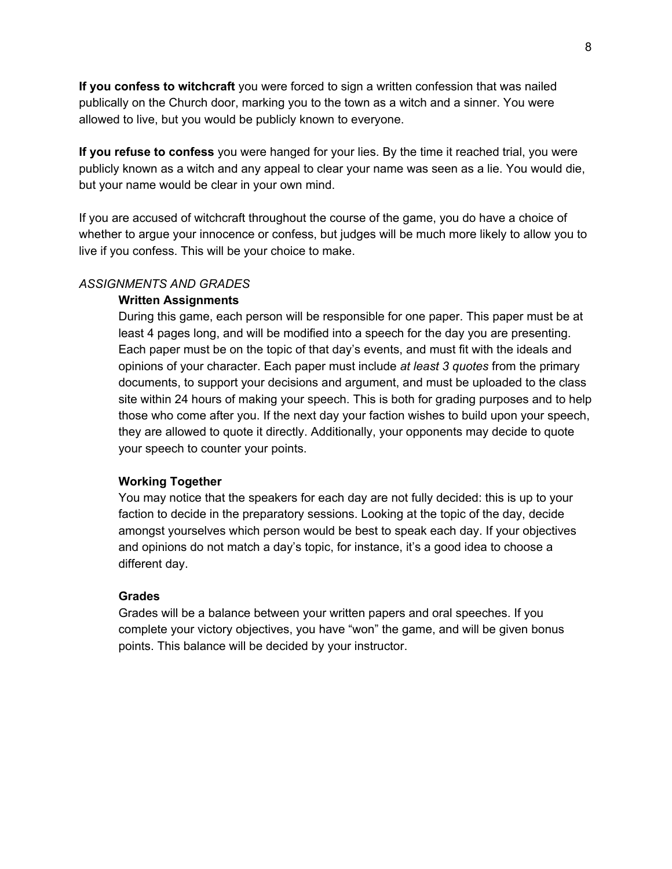**If you confess to witchcraft** you were forced to sign a written confession that was nailed publically on the Church door, marking you to the town as a witch and a sinner. You were allowed to live, but you would be publicly known to everyone.

**If you refuse to confess** you were hanged for your lies. By the time it reached trial, you were publicly known as a witch and any appeal to clear your name was seen as a lie. You would die, but your name would be clear in your own mind.

If you are accused of witchcraft throughout the course of the game, you do have a choice of whether to argue your innocence or confess, but judges will be much more likely to allow you to live if you confess. This will be your choice to make.

#### *ASSIGNMENTS AND GRADES*

#### **Written Assignments**

During this game, each person will be responsible for one paper. This paper must be at least 4 pages long, and will be modified into a speech for the day you are presenting. Each paper must be on the topic of that day's events, and must fit with the ideals and opinions of your character. Each paper must include *at least 3 quotes* from the primary documents, to support your decisions and argument, and must be uploaded to the class site within 24 hours of making your speech. This is both for grading purposes and to help those who come after you. If the next day your faction wishes to build upon your speech, they are allowed to quote it directly. Additionally, your opponents may decide to quote your speech to counter your points.

#### **Working Together**

You may notice that the speakers for each day are not fully decided: this is up to your faction to decide in the preparatory sessions. Looking at the topic of the day, decide amongst yourselves which person would be best to speak each day. If your objectives and opinions do not match a day's topic, for instance, it's a good idea to choose a different day.

#### **Grades**

Grades will be a balance between your written papers and oral speeches. If you complete your victory objectives, you have "won" the game, and will be given bonus points. This balance will be decided by your instructor.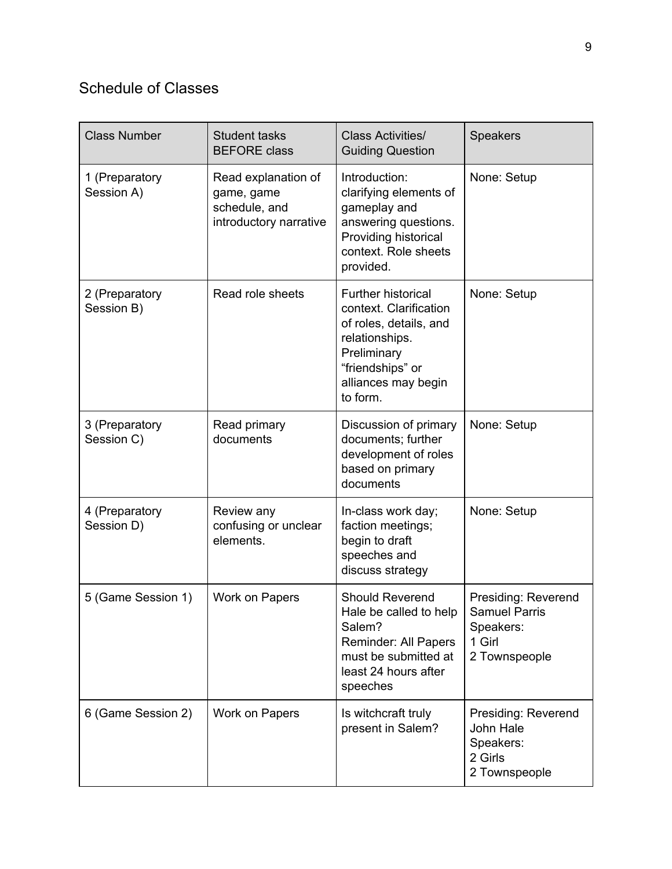# Schedule of Classes

| <b>Class Number</b>          | <b>Student tasks</b><br><b>BEFORE</b> class                                  | <b>Class Activities/</b><br><b>Guiding Question</b>                                                                                                                   | <b>Speakers</b>                                                                     |
|------------------------------|------------------------------------------------------------------------------|-----------------------------------------------------------------------------------------------------------------------------------------------------------------------|-------------------------------------------------------------------------------------|
| 1 (Preparatory<br>Session A) | Read explanation of<br>game, game<br>schedule, and<br>introductory narrative | Introduction:<br>clarifying elements of<br>gameplay and<br>answering questions.<br>Providing historical<br>context. Role sheets<br>provided.                          | None: Setup                                                                         |
| 2 (Preparatory<br>Session B) | Read role sheets                                                             | <b>Further historical</b><br>context. Clarification<br>of roles, details, and<br>relationships.<br>Preliminary<br>"friendships" or<br>alliances may begin<br>to form. | None: Setup                                                                         |
| 3 (Preparatory<br>Session C) | Read primary<br>documents                                                    | Discussion of primary<br>documents; further<br>development of roles<br>based on primary<br>documents                                                                  | None: Setup                                                                         |
| 4 (Preparatory<br>Session D) | Review any<br>confusing or unclear<br>elements.                              | In-class work day;<br>faction meetings;<br>begin to draft<br>speeches and<br>discuss strategy                                                                         | None: Setup                                                                         |
| 5 (Game Session 1)           | Work on Papers                                                               | <b>Should Reverend</b><br>Hale be called to help<br>Salem?<br><b>Reminder: All Papers</b><br>must be submitted at<br>least 24 hours after<br>speeches                 | Presiding: Reverend<br><b>Samuel Parris</b><br>Speakers:<br>1 Girl<br>2 Townspeople |
| 6 (Game Session 2)           | Work on Papers                                                               | Is witchcraft truly<br>present in Salem?                                                                                                                              | Presiding: Reverend<br>John Hale<br>Speakers:<br>2 Girls<br>2 Townspeople           |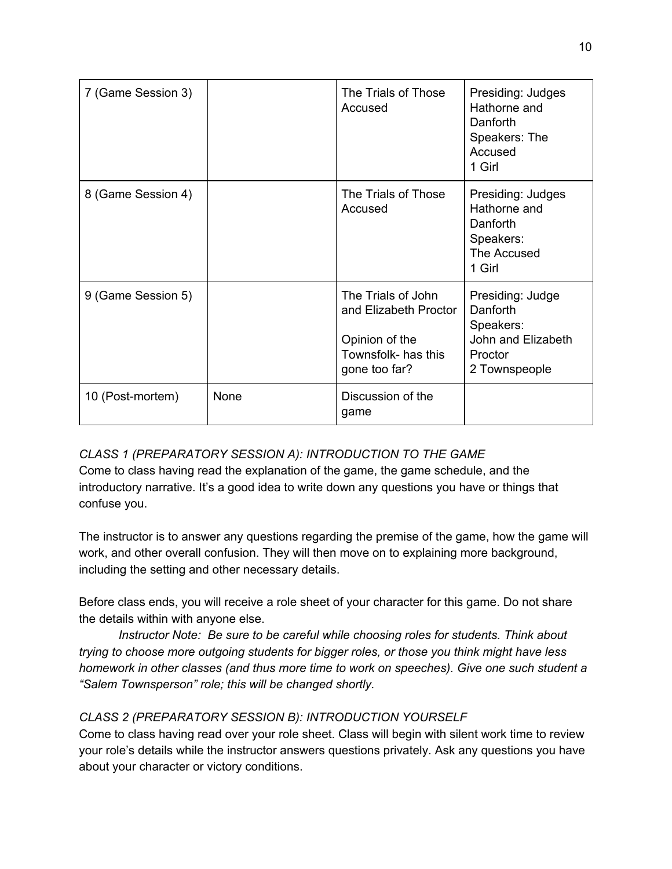| 7 (Game Session 3) |      | The Trials of Those<br>Accused                                                                        | Presiding: Judges<br>Hathorne and<br>Danforth<br>Speakers: The<br>Accused<br>1 Girl         |
|--------------------|------|-------------------------------------------------------------------------------------------------------|---------------------------------------------------------------------------------------------|
| 8 (Game Session 4) |      | The Trials of Those<br>Accused                                                                        | Presiding: Judges<br>Hathorne and<br>Danforth<br>Speakers:<br>The Accused<br>1 Girl         |
| 9 (Game Session 5) |      | The Trials of John<br>and Elizabeth Proctor<br>Opinion of the<br>Townsfolk- has this<br>gone too far? | Presiding: Judge<br>Danforth<br>Speakers:<br>John and Elizabeth<br>Proctor<br>2 Townspeople |
| 10 (Post-mortem)   | None | Discussion of the<br>game                                                                             |                                                                                             |

### *CLASS 1 (PREPARATORY SESSION A): INTRODUCTION TO THE GAME*

Come to class having read the explanation of the game, the game schedule, and the introductory narrative. It's a good idea to write down any questions you have or things that confuse you.

The instructor is to answer any questions regarding the premise of the game, how the game will work, and other overall confusion. They will then move on to explaining more background, including the setting and other necessary details.

Before class ends, you will receive a role sheet of your character for this game. Do not share the details within with anyone else.

*Instructor Note: Be sure to be careful while choosing roles for students. Think about trying to choose more outgoing students for bigger roles, or those you think might have less homework in other classes (and thus more time to work on speeches). Give one such student a "Salem Townsperson" role; this will be changed shortly.*

### *CLASS 2 (PREPARATORY SESSION B): INTRODUCTION YOURSELF*

Come to class having read over your role sheet. Class will begin with silent work time to review your role's details while the instructor answers questions privately. Ask any questions you have about your character or victory conditions.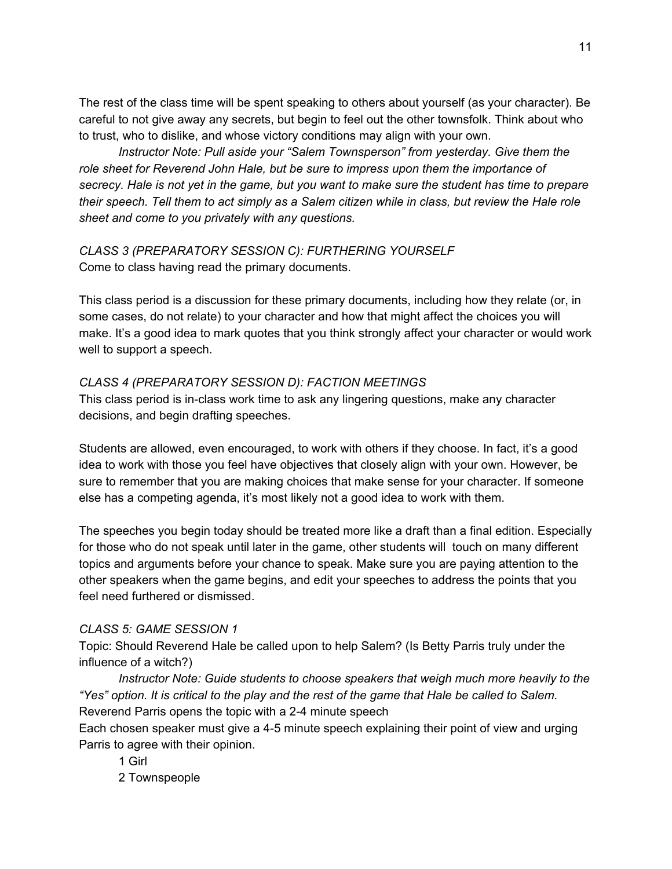The rest of the class time will be spent speaking to others about yourself (as your character). Be careful to not give away any secrets, but begin to feel out the other townsfolk. Think about who to trust, who to dislike, and whose victory conditions may align with your own.

*Instructor Note: Pull aside your "Salem Townsperson" from yesterday. Give them the role sheet for Reverend John Hale, but be sure to impress upon them the importance of* secrecy. Hale is not yet in the game, but you want to make sure the student has time to prepare their speech. Tell them to act simply as a Salem citizen while in class, but review the Hale role *sheet and come to you privately with any questions.*

### *CLASS 3 (PREPARATORY SESSION C): FURTHERING YOURSELF* Come to class having read the primary documents.

This class period is a discussion for these primary documents, including how they relate (or, in some cases, do not relate) to your character and how that might affect the choices you will make. It's a good idea to mark quotes that you think strongly affect your character or would work well to support a speech.

### *CLASS 4 (PREPARATORY SESSION D): FACTION MEETINGS*

This class period is in-class work time to ask any lingering questions, make any character decisions, and begin drafting speeches.

Students are allowed, even encouraged, to work with others if they choose. In fact, it's a good idea to work with those you feel have objectives that closely align with your own. However, be sure to remember that you are making choices that make sense for your character. If someone else has a competing agenda, it's most likely not a good idea to work with them.

The speeches you begin today should be treated more like a draft than a final edition. Especially for those who do not speak until later in the game, other students will touch on many different topics and arguments before your chance to speak. Make sure you are paying attention to the other speakers when the game begins, and edit your speeches to address the points that you feel need furthered or dismissed.

### *CLASS 5: GAME SESSION 1*

Topic: Should Reverend Hale be called upon to help Salem? (Is Betty Parris truly under the influence of a witch?)

*Instructor Note: Guide students to choose speakers that weigh much more heavily to the* "Yes" option. It is critical to the play and the rest of the game that Hale be called to Salem. Reverend Parris opens the topic with a 2-4 minute speech

Each chosen speaker must give a 4-5 minute speech explaining their point of view and urging Parris to agree with their opinion.

1 Girl

2 Townspeople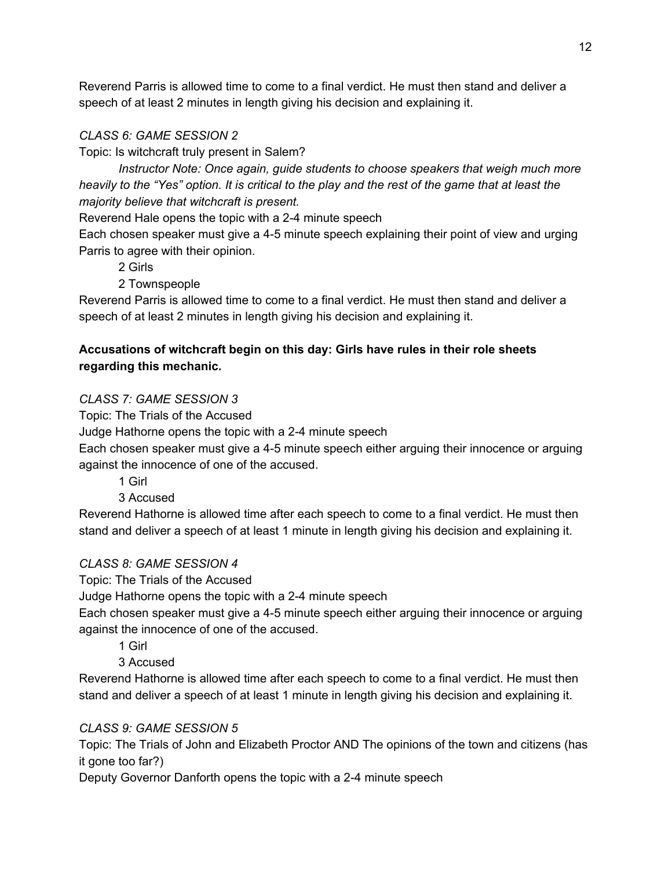Reverend Parris is allowed time to come to a final verdict. He must then stand and deliver a speech of at least 2 minutes in length giving his decision and explaining it.

### *CLASS 6: GAME SESSION 2*

Topic: Is witchcraft truly present in Salem?

*Instructor Note: Once again, guide students to choose speakers that weigh much more* heavily to the "Yes" option. It is critical to the play and the rest of the game that at least the *majority believe that witchcraft is present.*

Reverend Hale opens the topic with a 2-4 minute speech

Each chosen speaker must give a 4-5 minute speech explaining their point of view and urging Parris to agree with their opinion.

2 Girls

2 Townspeople

Reverend Parris is allowed time to come to a final verdict. He must then stand and deliver a speech of at least 2 minutes in length giving his decision and explaining it.

### **Accusations of witchcraft begin on this day: Girls have rules in their role sheets regarding this mechanic.**

*CLASS 7: GAME SESSION 3*

Topic: The Trials of the Accused

Judge Hathorne opens the topic with a 2-4 minute speech

Each chosen speaker must give a 4-5 minute speech either arguing their innocence or arguing against the innocence of one of the accused.

1 Girl

### 3 Accused

Reverend Hathorne is allowed time after each speech to come to a final verdict. He must then stand and deliver a speech of at least 1 minute in length giving his decision and explaining it.

### *CLASS 8: GAME SESSION 4*

Topic: The Trials of the Accused

Judge Hathorne opens the topic with a 2-4 minute speech

Each chosen speaker must give a 4-5 minute speech either arguing their innocence or arguing against the innocence of one of the accused.

1 Girl

3 Accused

Reverend Hathorne is allowed time after each speech to come to a final verdict. He must then stand and deliver a speech of at least 1 minute in length giving his decision and explaining it.

### *CLASS 9: GAME SESSION 5*

Topic: The Trials of John and Elizabeth Proctor AND The opinions of the town and citizens (has it gone too far?)

Deputy Governor Danforth opens the topic with a 2-4 minute speech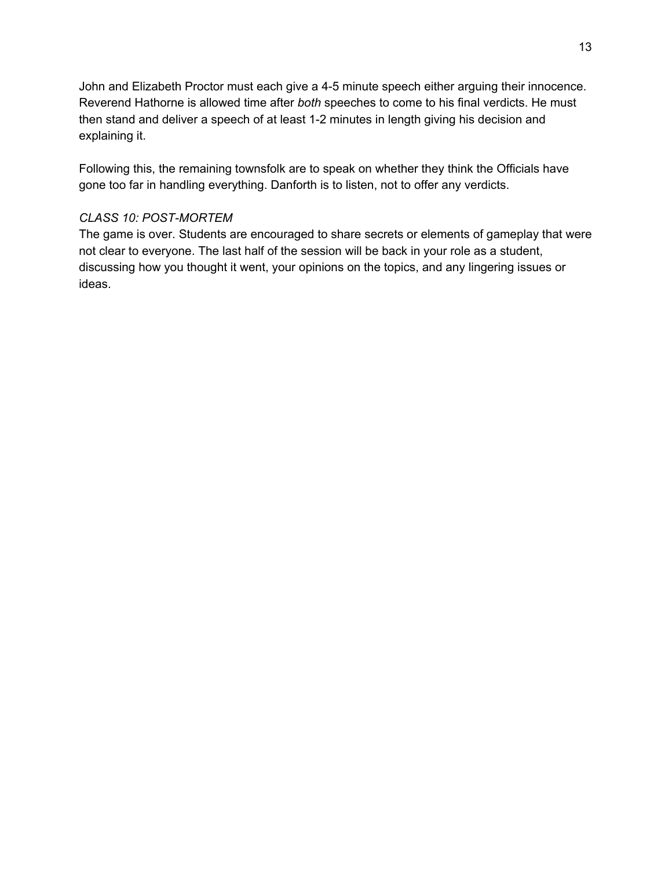John and Elizabeth Proctor must each give a 4-5 minute speech either arguing their innocence. Reverend Hathorne is allowed time after *both* speeches to come to his final verdicts. He must then stand and deliver a speech of at least 1-2 minutes in length giving his decision and explaining it.

Following this, the remaining townsfolk are to speak on whether they think the Officials have gone too far in handling everything. Danforth is to listen, not to offer any verdicts.

### *CLASS 10: POST-MORTEM*

The game is over. Students are encouraged to share secrets or elements of gameplay that were not clear to everyone. The last half of the session will be back in your role as a student, discussing how you thought it went, your opinions on the topics, and any lingering issues or ideas.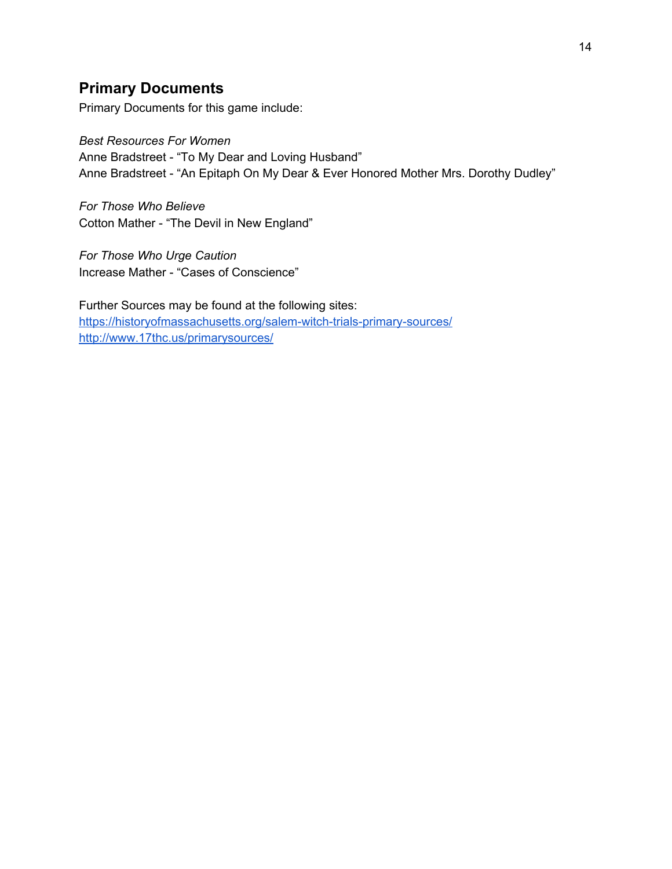# **Primary Documents**

Primary Documents for this game include:

*Best Resources For Women* Anne Bradstreet - "To My Dear and Loving Husband" Anne Bradstreet - "An Epitaph On My Dear & Ever Honored Mother Mrs. Dorothy Dudley"

*For Those Who Believe* Cotton Mather - "The Devil in New England"

*For Those Who Urge Caution* Increase Mather - "Cases of Conscience"

Further Sources may be found at the following sites: <https://historyofmassachusetts.org/salem-witch-trials-primary-sources/> <http://www.17thc.us/primarysources/>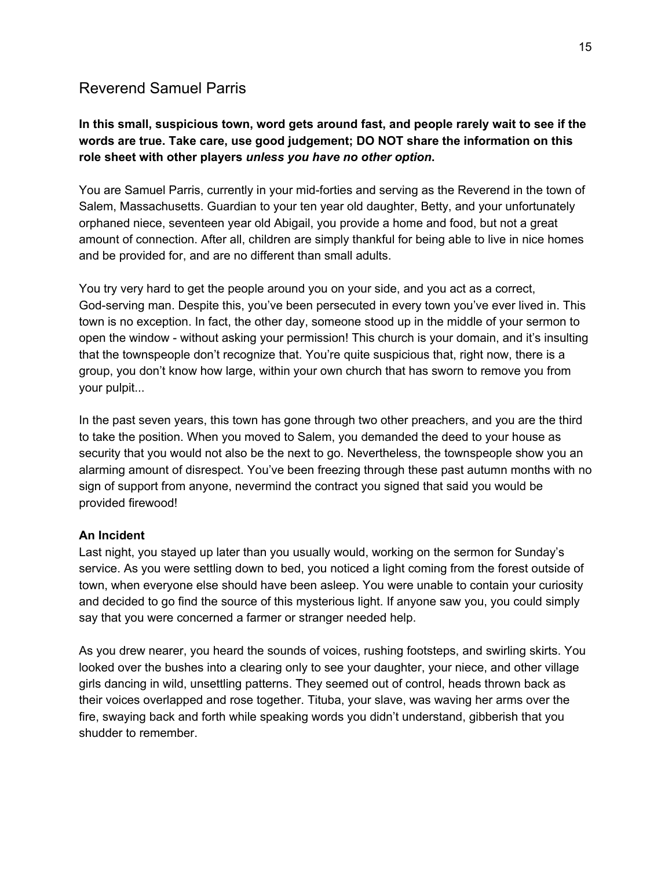# Reverend Samuel Parris

### **In this small, suspicious town, word gets around fast, and people rarely wait to see if the words are true. Take care, use good judgement; DO NOT share the information on this role sheet with other players** *unless you have no other option***.**

You are Samuel Parris, currently in your mid-forties and serving as the Reverend in the town of Salem, Massachusetts. Guardian to your ten year old daughter, Betty, and your unfortunately orphaned niece, seventeen year old Abigail, you provide a home and food, but not a great amount of connection. After all, children are simply thankful for being able to live in nice homes and be provided for, and are no different than small adults.

You try very hard to get the people around you on your side, and you act as a correct, God-serving man. Despite this, you've been persecuted in every town you've ever lived in. This town is no exception. In fact, the other day, someone stood up in the middle of your sermon to open the window - without asking your permission! This church is your domain, and it's insulting that the townspeople don't recognize that. You're quite suspicious that, right now, there is a group, you don't know how large, within your own church that has sworn to remove you from your pulpit...

In the past seven years, this town has gone through two other preachers, and you are the third to take the position. When you moved to Salem, you demanded the deed to your house as security that you would not also be the next to go. Nevertheless, the townspeople show you an alarming amount of disrespect. You've been freezing through these past autumn months with no sign of support from anyone, nevermind the contract you signed that said you would be provided firewood!

#### **An Incident**

Last night, you stayed up later than you usually would, working on the sermon for Sunday's service. As you were settling down to bed, you noticed a light coming from the forest outside of town, when everyone else should have been asleep. You were unable to contain your curiosity and decided to go find the source of this mysterious light. If anyone saw you, you could simply say that you were concerned a farmer or stranger needed help.

As you drew nearer, you heard the sounds of voices, rushing footsteps, and swirling skirts. You looked over the bushes into a clearing only to see your daughter, your niece, and other village girls dancing in wild, unsettling patterns. They seemed out of control, heads thrown back as their voices overlapped and rose together. Tituba, your slave, was waving her arms over the fire, swaying back and forth while speaking words you didn't understand, gibberish that you shudder to remember.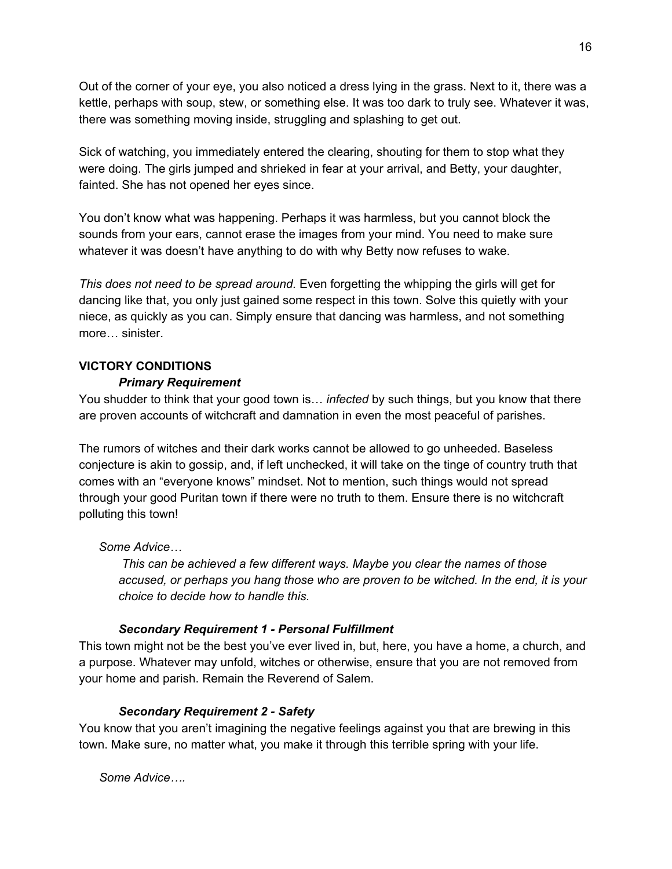Out of the corner of your eye, you also noticed a dress lying in the grass. Next to it, there was a kettle, perhaps with soup, stew, or something else. It was too dark to truly see. Whatever it was, there was something moving inside, struggling and splashing to get out.

Sick of watching, you immediately entered the clearing, shouting for them to stop what they were doing. The girls jumped and shrieked in fear at your arrival, and Betty, your daughter, fainted. She has not opened her eyes since.

You don't know what was happening. Perhaps it was harmless, but you cannot block the sounds from your ears, cannot erase the images from your mind. You need to make sure whatever it was doesn't have anything to do with why Betty now refuses to wake.

*This does not need to be spread around.* Even forgetting the whipping the girls will get for dancing like that, you only just gained some respect in this town. Solve this quietly with your niece, as quickly as you can. Simply ensure that dancing was harmless, and not something more… sinister.

### **VICTORY CONDITIONS**

#### *Primary Requirement*

You shudder to think that your good town is… *infected* by such things, but you know that there are proven accounts of witchcraft and damnation in even the most peaceful of parishes.

The rumors of witches and their dark works cannot be allowed to go unheeded. Baseless conjecture is akin to gossip, and, if left unchecked, it will take on the tinge of country truth that comes with an "everyone knows" mindset. Not to mention, such things would not spread through your good Puritan town if there were no truth to them. Ensure there is no witchcraft polluting this town!

#### *Some Advice…*

*This can be achieved a few different ways. Maybe you clear the names of those accused, or perhaps you hang those who are proven to be witched. In the end, it is your choice to decide how to handle this.*

#### *Secondary Requirement 1 - Personal Fulfillment*

This town might not be the best you've ever lived in, but, here, you have a home, a church, and a purpose. Whatever may unfold, witches or otherwise, ensure that you are not removed from your home and parish. Remain the Reverend of Salem.

#### *Secondary Requirement 2 - Safety*

You know that you aren't imagining the negative feelings against you that are brewing in this town. Make sure, no matter what, you make it through this terrible spring with your life.

*Some Advice….*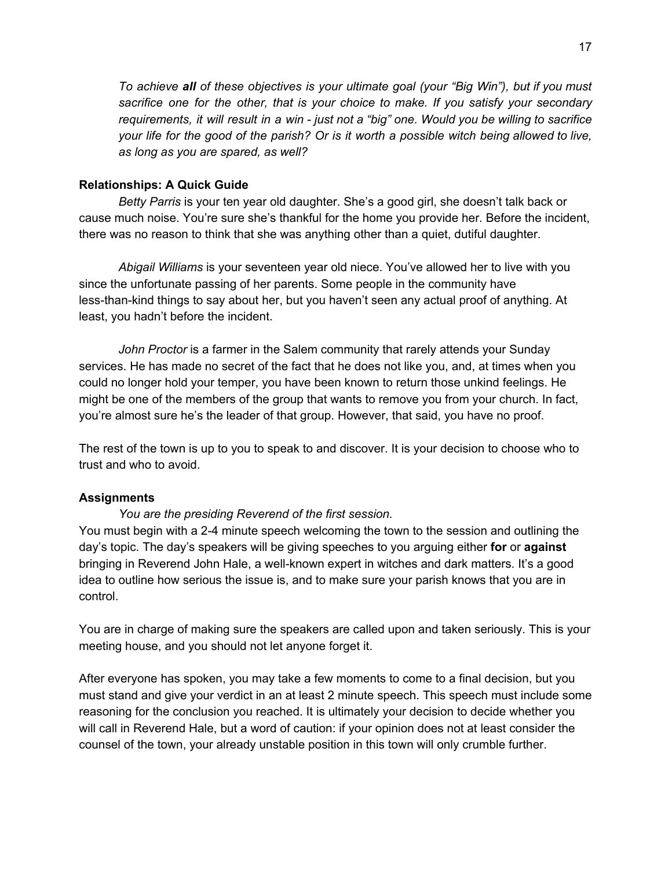*To achieve all of these objectives is your ultimate goal (your "Big Win"), but if you must sacrifice one for the other, that is your choice to make. If you satisfy your secondary* requirements, it will result in a win - just not a "big" one. Would you be willing to sacrifice your life for the good of the parish? Or is it worth a possible witch being allowed to live, *as long as you are spared, as well?*

#### **Relationships: A Quick Guide**

*Betty Parris* is your ten year old daughter. She's a good girl, she doesn't talk back or cause much noise. You're sure she's thankful for the home you provide her. Before the incident, there was no reason to think that she was anything other than a quiet, dutiful daughter.

*Abigail Williams* is your seventeen year old niece. You've allowed her to live with you since the unfortunate passing of her parents. Some people in the community have less-than-kind things to say about her, but you haven't seen any actual proof of anything. At least, you hadn't before the incident.

*John Proctor* is a farmer in the Salem community that rarely attends your Sunday services. He has made no secret of the fact that he does not like you, and, at times when you could no longer hold your temper, you have been known to return those unkind feelings. He might be one of the members of the group that wants to remove you from your church. In fact, you're almost sure he's the leader of that group. However, that said, you have no proof.

The rest of the town is up to you to speak to and discover. It is your decision to choose who to trust and who to avoid.

#### **Assignments**

#### *You are the presiding Reverend of the first session.*

You must begin with a 2-4 minute speech welcoming the town to the session and outlining the day's topic. The day's speakers will be giving speeches to you arguing either **for** or **against** bringing in Reverend John Hale, a well-known expert in witches and dark matters. It's a good idea to outline how serious the issue is, and to make sure your parish knows that you are in control.

You are in charge of making sure the speakers are called upon and taken seriously. This is your meeting house, and you should not let anyone forget it.

After everyone has spoken, you may take a few moments to come to a final decision, but you must stand and give your verdict in an at least 2 minute speech. This speech must include some reasoning for the conclusion you reached. It is ultimately your decision to decide whether you will call in Reverend Hale, but a word of caution: if your opinion does not at least consider the counsel of the town, your already unstable position in this town will only crumble further.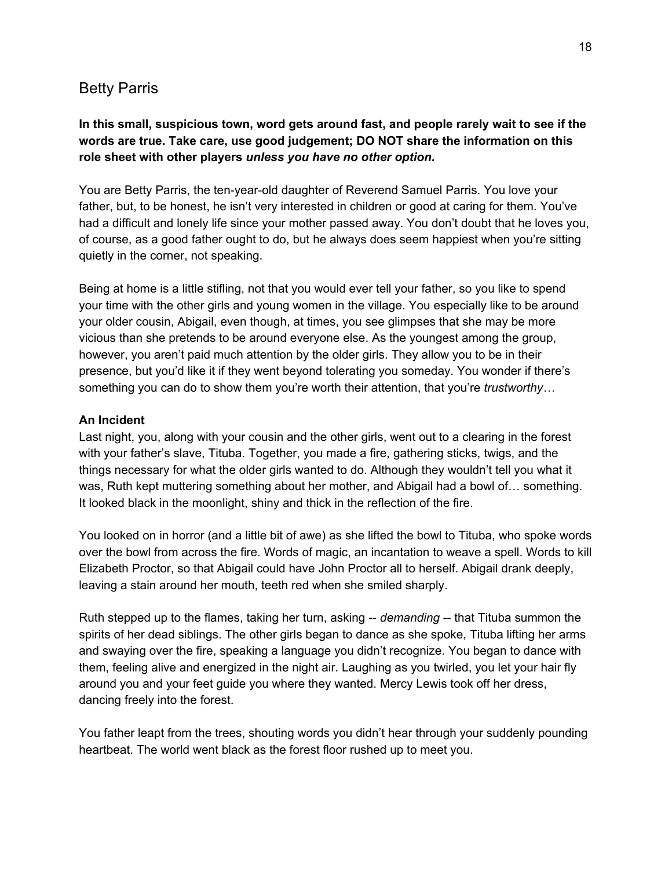### Betty Parris

### **In this small, suspicious town, word gets around fast, and people rarely wait to see if the words are true. Take care, use good judgement; DO NOT share the information on this role sheet with other players** *unless you have no other option***.**

You are Betty Parris, the ten-year-old daughter of Reverend Samuel Parris. You love your father, but, to be honest, he isn't very interested in children or good at caring for them. You've had a difficult and lonely life since your mother passed away. You don't doubt that he loves you, of course, as a good father ought to do, but he always does seem happiest when you're sitting quietly in the corner, not speaking.

Being at home is a little stifling, not that you would ever tell your father, so you like to spend your time with the other girls and young women in the village. You especially like to be around your older cousin, Abigail, even though, at times, you see glimpses that she may be more vicious than she pretends to be around everyone else. As the youngest among the group, however, you aren't paid much attention by the older girls. They allow you to be in their presence, but you'd like it if they went beyond tolerating you someday. You wonder if there's something you can do to show them you're worth their attention, that you're *trustworthy…*

#### **An Incident**

Last night, you, along with your cousin and the other girls, went out to a clearing in the forest with your father's slave, Tituba. Together, you made a fire, gathering sticks, twigs, and the things necessary for what the older girls wanted to do. Although they wouldn't tell you what it was, Ruth kept muttering something about her mother, and Abigail had a bowl of… something. It looked black in the moonlight, shiny and thick in the reflection of the fire.

You looked on in horror (and a little bit of awe) as she lifted the bowl to Tituba, who spoke words over the bowl from across the fire. Words of magic, an incantation to weave a spell. Words to kill Elizabeth Proctor, so that Abigail could have John Proctor all to herself. Abigail drank deeply, leaving a stain around her mouth, teeth red when she smiled sharply.

Ruth stepped up to the flames, taking her turn, asking -- *demanding* -- that Tituba summon the spirits of her dead siblings. The other girls began to dance as she spoke, Tituba lifting her arms and swaying over the fire, speaking a language you didn't recognize. You began to dance with them, feeling alive and energized in the night air. Laughing as you twirled, you let your hair fly around you and your feet guide you where they wanted. Mercy Lewis took off her dress, dancing freely into the forest.

You father leapt from the trees, shouting words you didn't hear through your suddenly pounding heartbeat. The world went black as the forest floor rushed up to meet you.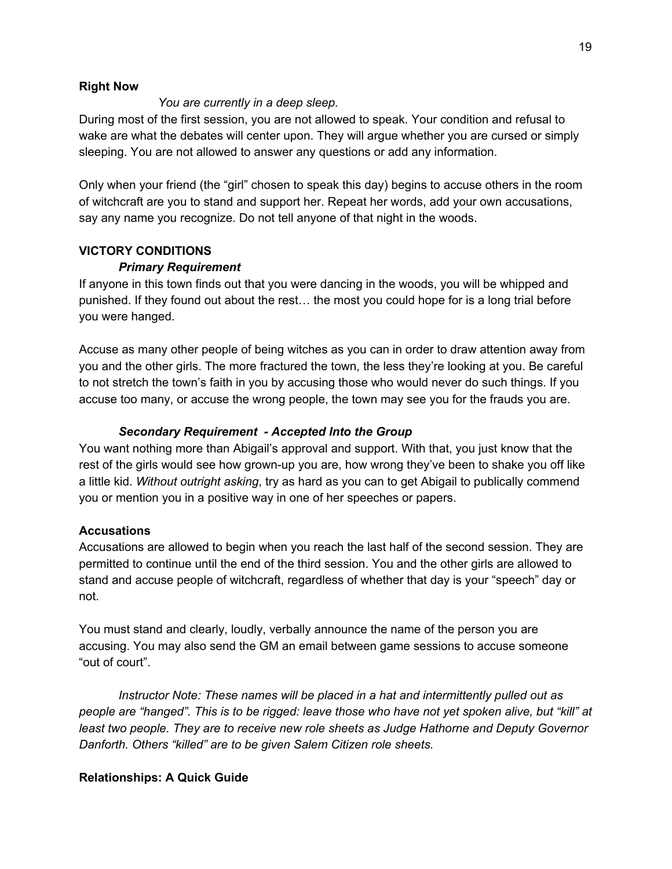#### **Right Now**

#### *You are currently in a deep sleep.*

During most of the first session, you are not allowed to speak. Your condition and refusal to wake are what the debates will center upon. They will argue whether you are cursed or simply sleeping. You are not allowed to answer any questions or add any information.

Only when your friend (the "girl" chosen to speak this day) begins to accuse others in the room of witchcraft are you to stand and support her. Repeat her words, add your own accusations, say any name you recognize. Do not tell anyone of that night in the woods.

#### **VICTORY CONDITIONS**

#### *Primary Requirement*

If anyone in this town finds out that you were dancing in the woods, you will be whipped and punished. If they found out about the rest… the most you could hope for is a long trial before you were hanged.

Accuse as many other people of being witches as you can in order to draw attention away from you and the other girls. The more fractured the town, the less they're looking at you. Be careful to not stretch the town's faith in you by accusing those who would never do such things. If you accuse too many, or accuse the wrong people, the town may see you for the frauds you are.

#### *Secondary Requirement - Accepted Into the Group*

You want nothing more than Abigail's approval and support. With that, you just know that the rest of the girls would see how grown-up you are, how wrong they've been to shake you off like a little kid. *Without outright asking*, try as hard as you can to get Abigail to publically commend you or mention you in a positive way in one of her speeches or papers.

#### **Accusations**

Accusations are allowed to begin when you reach the last half of the second session. They are permitted to continue until the end of the third session. You and the other girls are allowed to stand and accuse people of witchcraft, regardless of whether that day is your "speech" day or not.

You must stand and clearly, loudly, verbally announce the name of the person you are accusing. You may also send the GM an email between game sessions to accuse someone "out of court".

*Instructor Note: These names will be placed in a hat and intermittently pulled out as* people are "hanged". This is to be rigged: leave those who have not yet spoken alive, but "kill" at *least two people. They are to receive new role sheets as Judge Hathorne and Deputy Governor Danforth. Others "killed" are to be given Salem Citizen role sheets.*

#### **Relationships: A Quick Guide**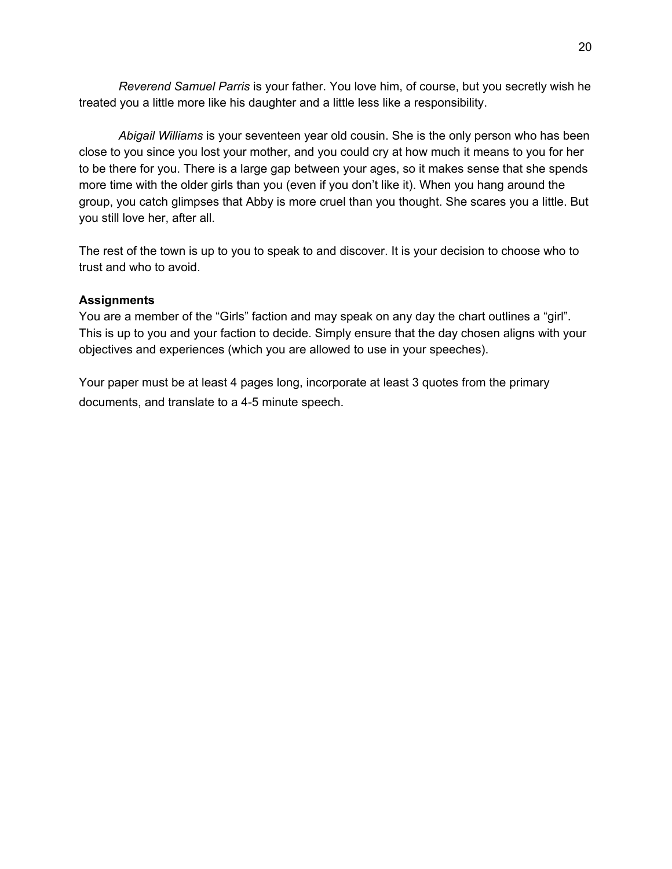*Reverend Samuel Parris* is your father. You love him, of course, but you secretly wish he treated you a little more like his daughter and a little less like a responsibility.

*Abigail Williams* is your seventeen year old cousin. She is the only person who has been close to you since you lost your mother, and you could cry at how much it means to you for her to be there for you. There is a large gap between your ages, so it makes sense that she spends more time with the older girls than you (even if you don't like it). When you hang around the group, you catch glimpses that Abby is more cruel than you thought. She scares you a little. But you still love her, after all.

The rest of the town is up to you to speak to and discover. It is your decision to choose who to trust and who to avoid.

#### **Assignments**

You are a member of the "Girls" faction and may speak on any day the chart outlines a "girl". This is up to you and your faction to decide. Simply ensure that the day chosen aligns with your objectives and experiences (which you are allowed to use in your speeches).

Your paper must be at least 4 pages long, incorporate at least 3 quotes from the primary documents, and translate to a 4-5 minute speech.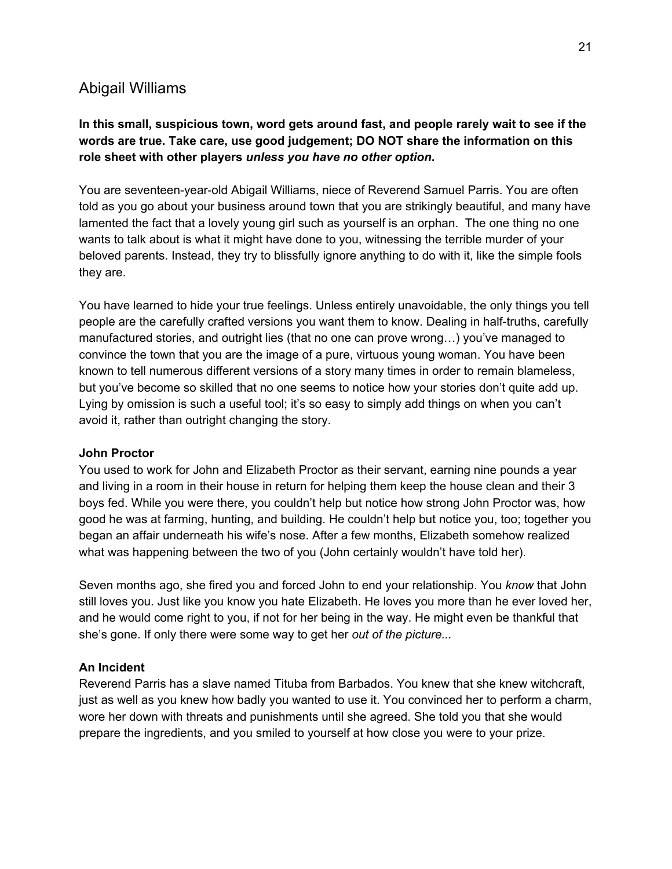# Abigail Williams

### **In this small, suspicious town, word gets around fast, and people rarely wait to see if the words are true. Take care, use good judgement; DO NOT share the information on this role sheet with other players** *unless you have no other option***.**

You are seventeen-year-old Abigail Williams, niece of Reverend Samuel Parris. You are often told as you go about your business around town that you are strikingly beautiful, and many have lamented the fact that a lovely young girl such as yourself is an orphan. The one thing no one wants to talk about is what it might have done to you, witnessing the terrible murder of your beloved parents. Instead, they try to blissfully ignore anything to do with it, like the simple fools they are.

You have learned to hide your true feelings. Unless entirely unavoidable, the only things you tell people are the carefully crafted versions you want them to know. Dealing in half-truths, carefully manufactured stories, and outright lies (that no one can prove wrong…) you've managed to convince the town that you are the image of a pure, virtuous young woman. You have been known to tell numerous different versions of a story many times in order to remain blameless, but you've become so skilled that no one seems to notice how your stories don't quite add up. Lying by omission is such a useful tool; it's so easy to simply add things on when you can't avoid it, rather than outright changing the story.

#### **John Proctor**

You used to work for John and Elizabeth Proctor as their servant, earning nine pounds a year and living in a room in their house in return for helping them keep the house clean and their 3 boys fed. While you were there, you couldn't help but notice how strong John Proctor was, how good he was at farming, hunting, and building. He couldn't help but notice you, too; together you began an affair underneath his wife's nose. After a few months, Elizabeth somehow realized what was happening between the two of you (John certainly wouldn't have told her).

Seven months ago, she fired you and forced John to end your relationship. You *know* that John still loves you. Just like you know you hate Elizabeth. He loves you more than he ever loved her, and he would come right to you, if not for her being in the way. He might even be thankful that she's gone. If only there were some way to get her *out of the picture...*

#### **An Incident**

Reverend Parris has a slave named Tituba from Barbados. You knew that she knew witchcraft, just as well as you knew how badly you wanted to use it. You convinced her to perform a charm, wore her down with threats and punishments until she agreed. She told you that she would prepare the ingredients, and you smiled to yourself at how close you were to your prize.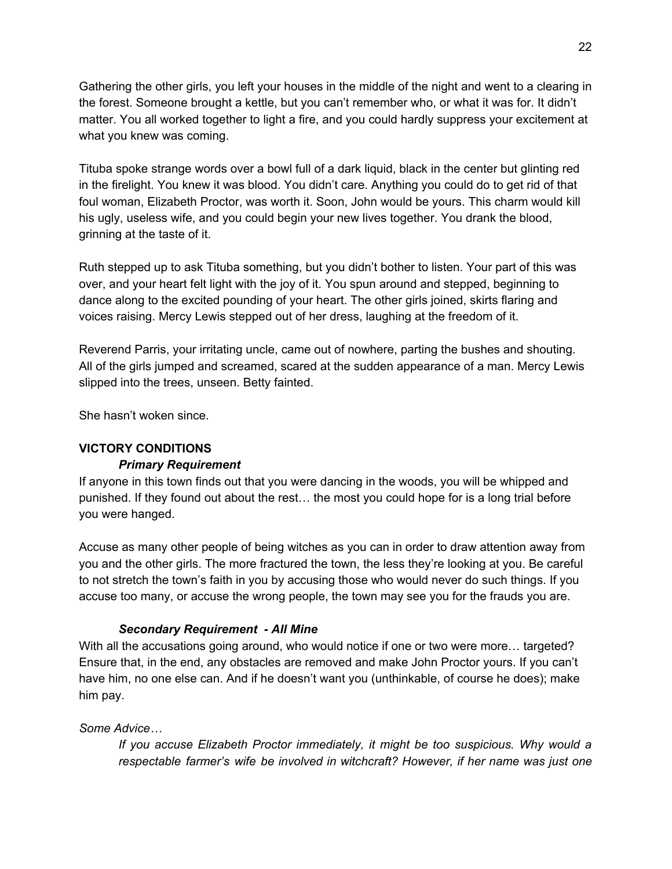Gathering the other girls, you left your houses in the middle of the night and went to a clearing in the forest. Someone brought a kettle, but you can't remember who, or what it was for. It didn't matter. You all worked together to light a fire, and you could hardly suppress your excitement at what you knew was coming.

Tituba spoke strange words over a bowl full of a dark liquid, black in the center but glinting red in the firelight. You knew it was blood. You didn't care. Anything you could do to get rid of that foul woman, Elizabeth Proctor, was worth it. Soon, John would be yours. This charm would kill his ugly, useless wife, and you could begin your new lives together. You drank the blood, grinning at the taste of it.

Ruth stepped up to ask Tituba something, but you didn't bother to listen. Your part of this was over, and your heart felt light with the joy of it. You spun around and stepped, beginning to dance along to the excited pounding of your heart. The other girls joined, skirts flaring and voices raising. Mercy Lewis stepped out of her dress, laughing at the freedom of it.

Reverend Parris, your irritating uncle, came out of nowhere, parting the bushes and shouting. All of the girls jumped and screamed, scared at the sudden appearance of a man. Mercy Lewis slipped into the trees, unseen. Betty fainted.

She hasn't woken since.

#### **VICTORY CONDITIONS**

#### *Primary Requirement*

If anyone in this town finds out that you were dancing in the woods, you will be whipped and punished. If they found out about the rest… the most you could hope for is a long trial before you were hanged.

Accuse as many other people of being witches as you can in order to draw attention away from you and the other girls. The more fractured the town, the less they're looking at you. Be careful to not stretch the town's faith in you by accusing those who would never do such things. If you accuse too many, or accuse the wrong people, the town may see you for the frauds you are.

#### *Secondary Requirement - All Mine*

With all the accusations going around, who would notice if one or two were more... targeted? Ensure that, in the end, any obstacles are removed and make John Proctor yours. If you can't have him, no one else can. And if he doesn't want you (unthinkable, of course he does); make him pay.

#### *Some Advice…*

*If you accuse Elizabeth Proctor immediately, it might be too suspicious. Why would a respectable farmer's wife be involved in witchcraft? However, if her name was just one*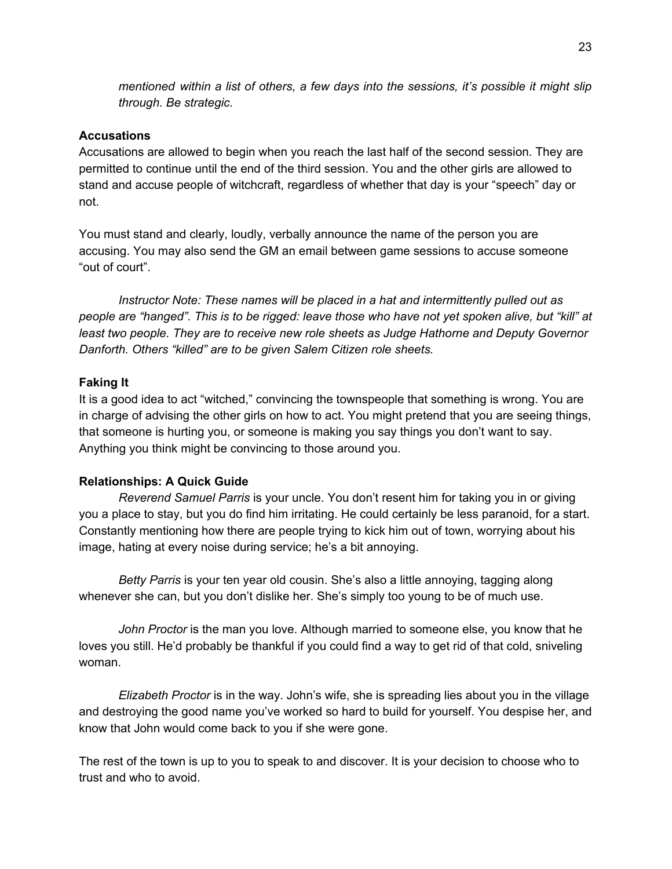*mentioned within a list of others, a few days into the sessions, it's possible it might slip through. Be strategic.*

#### **Accusations**

Accusations are allowed to begin when you reach the last half of the second session. They are permitted to continue until the end of the third session. You and the other girls are allowed to stand and accuse people of witchcraft, regardless of whether that day is your "speech" day or not.

You must stand and clearly, loudly, verbally announce the name of the person you are accusing. You may also send the GM an email between game sessions to accuse someone "out of court".

*Instructor Note: These names will be placed in a hat and intermittently pulled out as* people are "hanged". This is to be rigged: leave those who have not yet spoken alive, but "kill" at *least two people. They are to receive new role sheets as Judge Hathorne and Deputy Governor Danforth. Others "killed" are to be given Salem Citizen role sheets.*

#### **Faking It**

It is a good idea to act "witched," convincing the townspeople that something is wrong. You are in charge of advising the other girls on how to act. You might pretend that you are seeing things, that someone is hurting you, or someone is making you say things you don't want to say. Anything you think might be convincing to those around you.

#### **Relationships: A Quick Guide**

*Reverend Samuel Parris* is your uncle. You don't resent him for taking you in or giving you a place to stay, but you do find him irritating. He could certainly be less paranoid, for a start. Constantly mentioning how there are people trying to kick him out of town, worrying about his image, hating at every noise during service; he's a bit annoying.

*Betty Parris* is your ten year old cousin. She's also a little annoying, tagging along whenever she can, but you don't dislike her. She's simply too young to be of much use.

*John Proctor* is the man you love. Although married to someone else, you know that he loves you still. He'd probably be thankful if you could find a way to get rid of that cold, sniveling woman.

*Elizabeth Proctor* is in the way. John's wife, she is spreading lies about you in the village and destroying the good name you've worked so hard to build for yourself. You despise her, and know that John would come back to you if she were gone.

The rest of the town is up to you to speak to and discover. It is your decision to choose who to trust and who to avoid.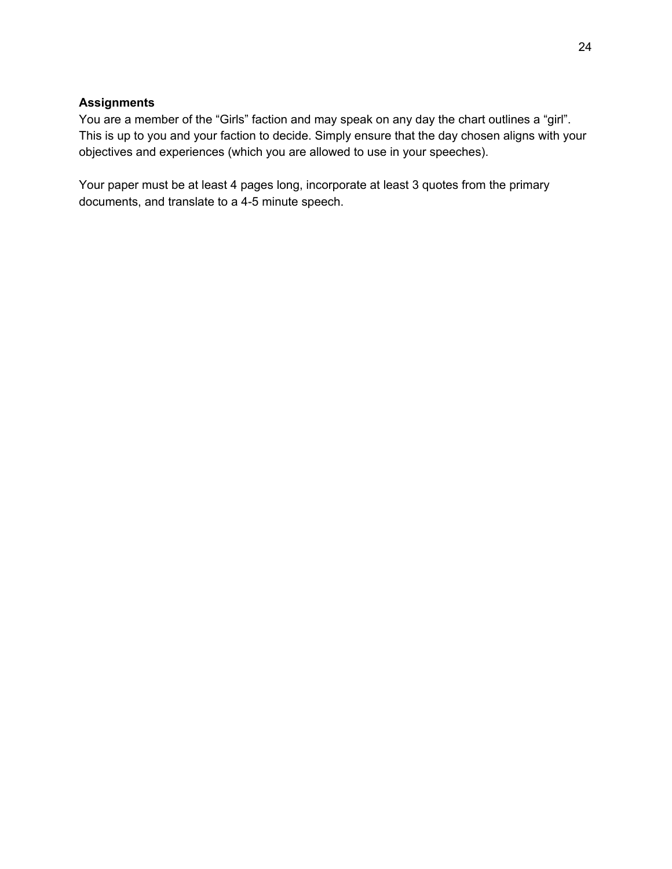#### **Assignments**

You are a member of the "Girls" faction and may speak on any day the chart outlines a "girl". This is up to you and your faction to decide. Simply ensure that the day chosen aligns with your objectives and experiences (which you are allowed to use in your speeches).

Your paper must be at least 4 pages long, incorporate at least 3 quotes from the primary documents, and translate to a 4-5 minute speech.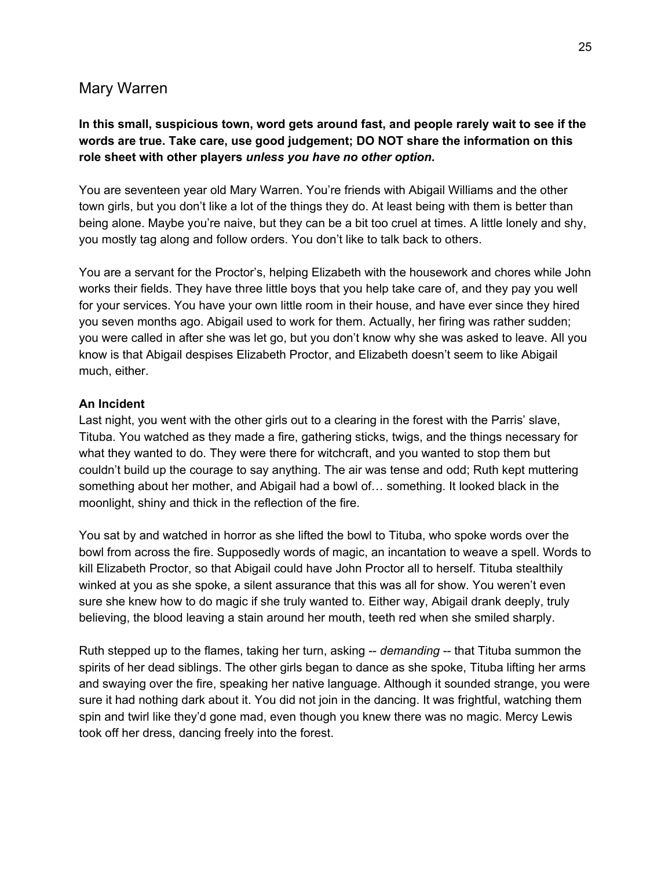### Mary Warren

### **In this small, suspicious town, word gets around fast, and people rarely wait to see if the words are true. Take care, use good judgement; DO NOT share the information on this role sheet with other players** *unless you have no other option***.**

You are seventeen year old Mary Warren. You're friends with Abigail Williams and the other town girls, but you don't like a lot of the things they do. At least being with them is better than being alone. Maybe you're naive, but they can be a bit too cruel at times. A little lonely and shy, you mostly tag along and follow orders. You don't like to talk back to others.

You are a servant for the Proctor's, helping Elizabeth with the housework and chores while John works their fields. They have three little boys that you help take care of, and they pay you well for your services. You have your own little room in their house, and have ever since they hired you seven months ago. Abigail used to work for them. Actually, her firing was rather sudden; you were called in after she was let go, but you don't know why she was asked to leave. All you know is that Abigail despises Elizabeth Proctor, and Elizabeth doesn't seem to like Abigail much, either.

#### **An Incident**

Last night, you went with the other girls out to a clearing in the forest with the Parris' slave, Tituba. You watched as they made a fire, gathering sticks, twigs, and the things necessary for what they wanted to do. They were there for witchcraft, and you wanted to stop them but couldn't build up the courage to say anything. The air was tense and odd; Ruth kept muttering something about her mother, and Abigail had a bowl of… something. It looked black in the moonlight, shiny and thick in the reflection of the fire.

You sat by and watched in horror as she lifted the bowl to Tituba, who spoke words over the bowl from across the fire. Supposedly words of magic, an incantation to weave a spell. Words to kill Elizabeth Proctor, so that Abigail could have John Proctor all to herself. Tituba stealthily winked at you as she spoke, a silent assurance that this was all for show. You weren't even sure she knew how to do magic if she truly wanted to. Either way, Abigail drank deeply, truly believing, the blood leaving a stain around her mouth, teeth red when she smiled sharply.

Ruth stepped up to the flames, taking her turn, asking -- *demanding* -- that Tituba summon the spirits of her dead siblings. The other girls began to dance as she spoke, Tituba lifting her arms and swaying over the fire, speaking her native language. Although it sounded strange, you were sure it had nothing dark about it. You did not join in the dancing. It was frightful, watching them spin and twirl like they'd gone mad, even though you knew there was no magic. Mercy Lewis took off her dress, dancing freely into the forest.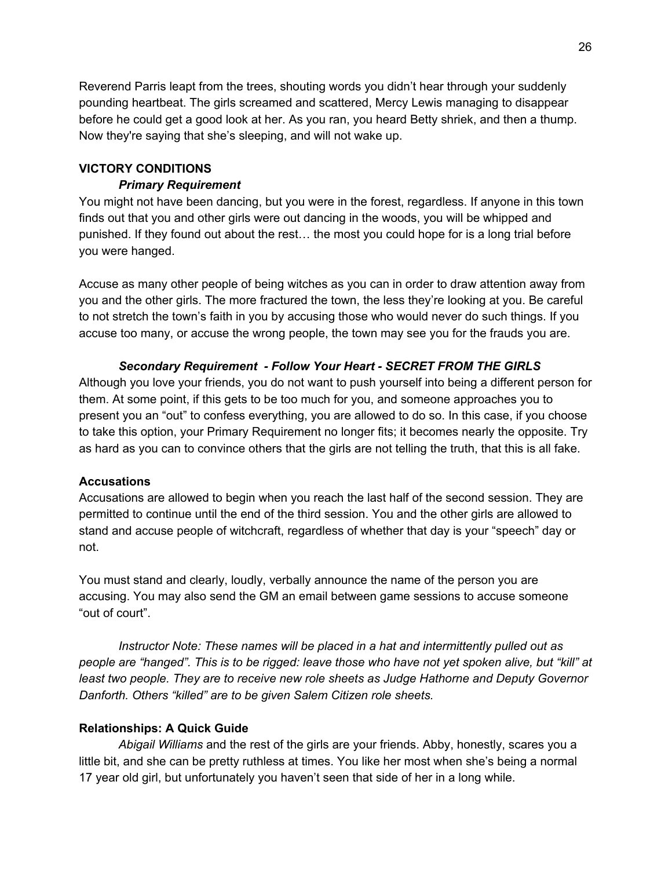Reverend Parris leapt from the trees, shouting words you didn't hear through your suddenly pounding heartbeat. The girls screamed and scattered, Mercy Lewis managing to disappear before he could get a good look at her. As you ran, you heard Betty shriek, and then a thump. Now they're saying that she's sleeping, and will not wake up.

### **VICTORY CONDITIONS**

### *Primary Requirement*

You might not have been dancing, but you were in the forest, regardless. If anyone in this town finds out that you and other girls were out dancing in the woods, you will be whipped and punished. If they found out about the rest… the most you could hope for is a long trial before you were hanged.

Accuse as many other people of being witches as you can in order to draw attention away from you and the other girls. The more fractured the town, the less they're looking at you. Be careful to not stretch the town's faith in you by accusing those who would never do such things. If you accuse too many, or accuse the wrong people, the town may see you for the frauds you are.

### *Secondary Requirement - Follow Your Heart - SECRET FROM THE GIRLS*

Although you love your friends, you do not want to push yourself into being a different person for them. At some point, if this gets to be too much for you, and someone approaches you to present you an "out" to confess everything, you are allowed to do so. In this case, if you choose to take this option, your Primary Requirement no longer fits; it becomes nearly the opposite. Try as hard as you can to convince others that the girls are not telling the truth, that this is all fake.

#### **Accusations**

Accusations are allowed to begin when you reach the last half of the second session. They are permitted to continue until the end of the third session. You and the other girls are allowed to stand and accuse people of witchcraft, regardless of whether that day is your "speech" day or not.

You must stand and clearly, loudly, verbally announce the name of the person you are accusing. You may also send the GM an email between game sessions to accuse someone "out of court".

*Instructor Note: These names will be placed in a hat and intermittently pulled out as* people are "hanged". This is to be rigged: leave those who have not yet spoken alive, but "kill" at *least two people. They are to receive new role sheets as Judge Hathorne and Deputy Governor Danforth. Others "killed" are to be given Salem Citizen role sheets.*

### **Relationships: A Quick Guide**

*Abigail Williams* and the rest of the girls are your friends. Abby, honestly, scares you a little bit, and she can be pretty ruthless at times. You like her most when she's being a normal 17 year old girl, but unfortunately you haven't seen that side of her in a long while.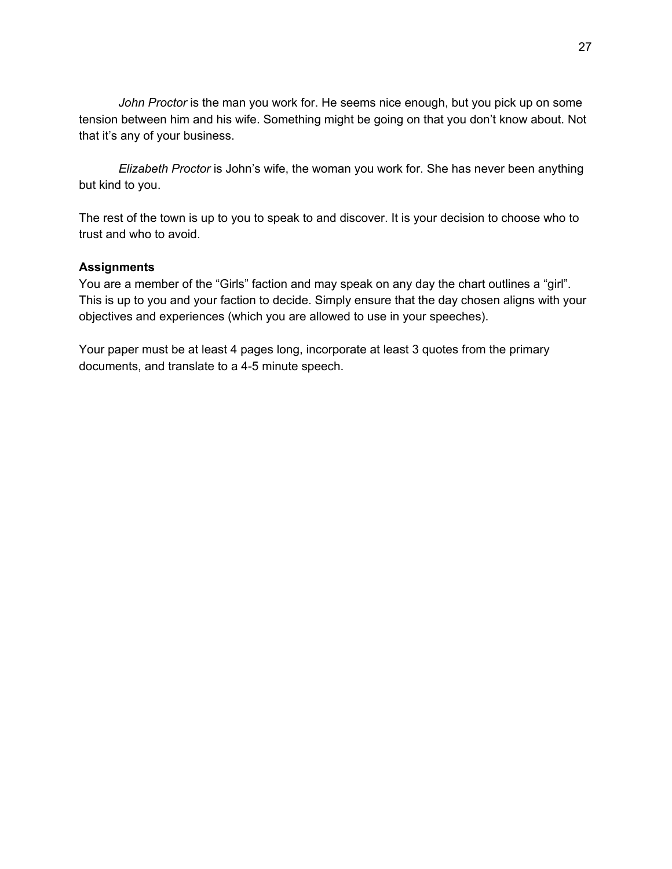*John Proctor* is the man you work for. He seems nice enough, but you pick up on some tension between him and his wife. Something might be going on that you don't know about. Not that it's any of your business.

*Elizabeth Proctor* is John's wife, the woman you work for. She has never been anything but kind to you.

The rest of the town is up to you to speak to and discover. It is your decision to choose who to trust and who to avoid.

#### **Assignments**

You are a member of the "Girls" faction and may speak on any day the chart outlines a "girl". This is up to you and your faction to decide. Simply ensure that the day chosen aligns with your objectives and experiences (which you are allowed to use in your speeches).

Your paper must be at least 4 pages long, incorporate at least 3 quotes from the primary documents, and translate to a 4-5 minute speech.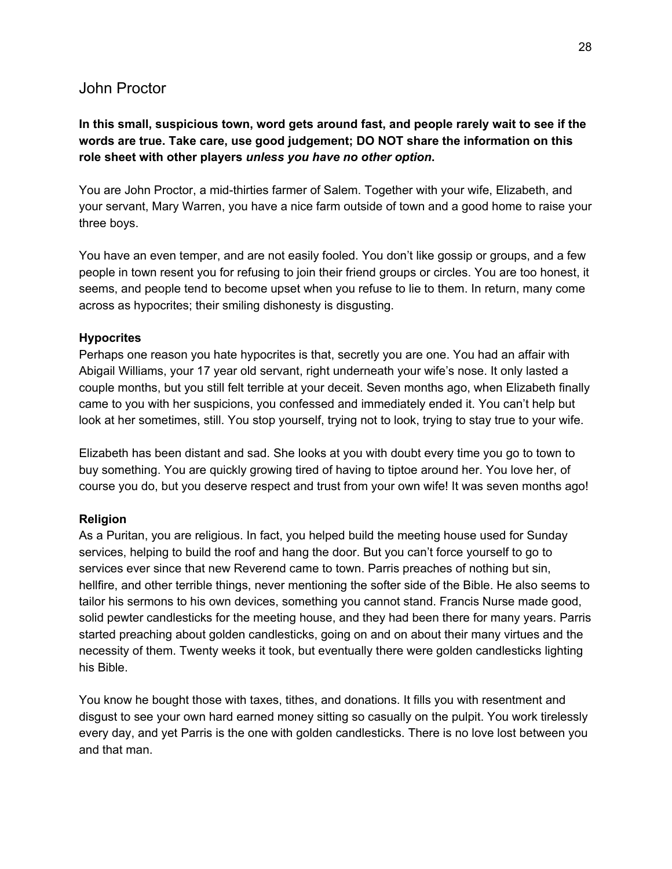### John Proctor

### **In this small, suspicious town, word gets around fast, and people rarely wait to see if the words are true. Take care, use good judgement; DO NOT share the information on this role sheet with other players** *unless you have no other option***.**

You are John Proctor, a mid-thirties farmer of Salem. Together with your wife, Elizabeth, and your servant, Mary Warren, you have a nice farm outside of town and a good home to raise your three boys.

You have an even temper, and are not easily fooled. You don't like gossip or groups, and a few people in town resent you for refusing to join their friend groups or circles. You are too honest, it seems, and people tend to become upset when you refuse to lie to them. In return, many come across as hypocrites; their smiling dishonesty is disgusting.

#### **Hypocrites**

Perhaps one reason you hate hypocrites is that, secretly you are one. You had an affair with Abigail Williams, your 17 year old servant, right underneath your wife's nose. It only lasted a couple months, but you still felt terrible at your deceit. Seven months ago, when Elizabeth finally came to you with her suspicions, you confessed and immediately ended it. You can't help but look at her sometimes, still. You stop yourself, trying not to look, trying to stay true to your wife.

Elizabeth has been distant and sad. She looks at you with doubt every time you go to town to buy something. You are quickly growing tired of having to tiptoe around her. You love her, of course you do, but you deserve respect and trust from your own wife! It was seven months ago!

#### **Religion**

As a Puritan, you are religious. In fact, you helped build the meeting house used for Sunday services, helping to build the roof and hang the door. But you can't force yourself to go to services ever since that new Reverend came to town. Parris preaches of nothing but sin, hellfire, and other terrible things, never mentioning the softer side of the Bible. He also seems to tailor his sermons to his own devices, something you cannot stand. Francis Nurse made good, solid pewter candlesticks for the meeting house, and they had been there for many years. Parris started preaching about golden candlesticks, going on and on about their many virtues and the necessity of them. Twenty weeks it took, but eventually there were golden candlesticks lighting his Bible.

You know he bought those with taxes, tithes, and donations. It fills you with resentment and disgust to see your own hard earned money sitting so casually on the pulpit. You work tirelessly every day, and yet Parris is the one with golden candlesticks. There is no love lost between you and that man.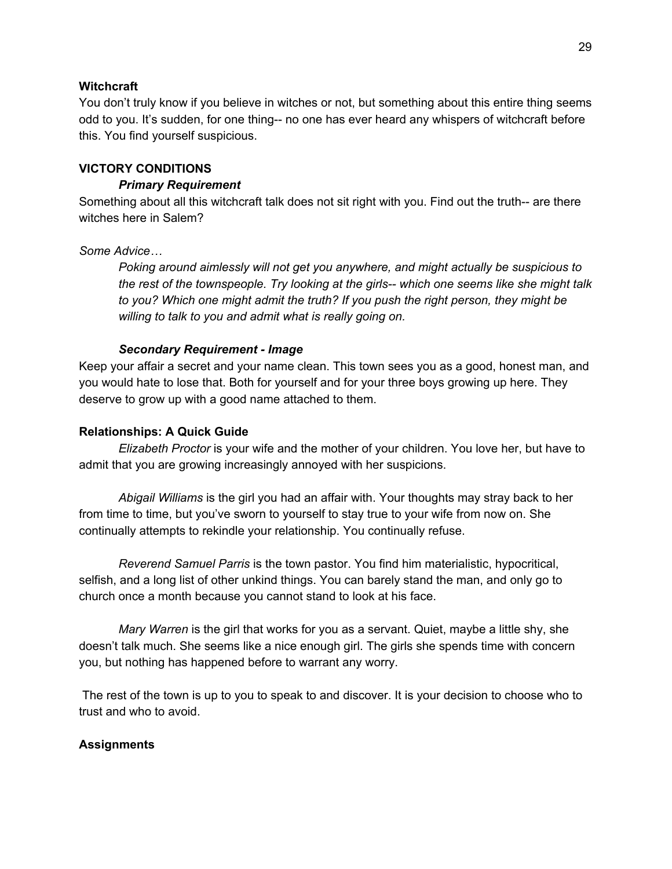#### **Witchcraft**

You don't truly know if you believe in witches or not, but something about this entire thing seems odd to you. It's sudden, for one thing-- no one has ever heard any whispers of witchcraft before this. You find yourself suspicious.

#### **VICTORY CONDITIONS**

#### *Primary Requirement*

Something about all this witchcraft talk does not sit right with you. Find out the truth-- are there witches here in Salem?

#### *Some Advice…*

*Poking around aimlessly will not get you anywhere, and might actually be suspicious to the rest of the townspeople. Try looking at the girls-- which one seems like she might talk to you? Which one might admit the truth? If you push the right person, they might be willing to talk to you and admit what is really going on.*

#### *Secondary Requirement - Image*

Keep your affair a secret and your name clean. This town sees you as a good, honest man, and you would hate to lose that. Both for yourself and for your three boys growing up here. They deserve to grow up with a good name attached to them.

#### **Relationships: A Quick Guide**

*Elizabeth Proctor* is your wife and the mother of your children. You love her, but have to admit that you are growing increasingly annoyed with her suspicions.

*Abigail Williams* is the girl you had an affair with. Your thoughts may stray back to her from time to time, but you've sworn to yourself to stay true to your wife from now on. She continually attempts to rekindle your relationship. You continually refuse.

*Reverend Samuel Parris* is the town pastor. You find him materialistic, hypocritical, selfish, and a long list of other unkind things. You can barely stand the man, and only go to church once a month because you cannot stand to look at his face.

*Mary Warren* is the girl that works for you as a servant. Quiet, maybe a little shy, she doesn't talk much. She seems like a nice enough girl. The girls she spends time with concern you, but nothing has happened before to warrant any worry.

The rest of the town is up to you to speak to and discover. It is your decision to choose who to trust and who to avoid.

#### **Assignments**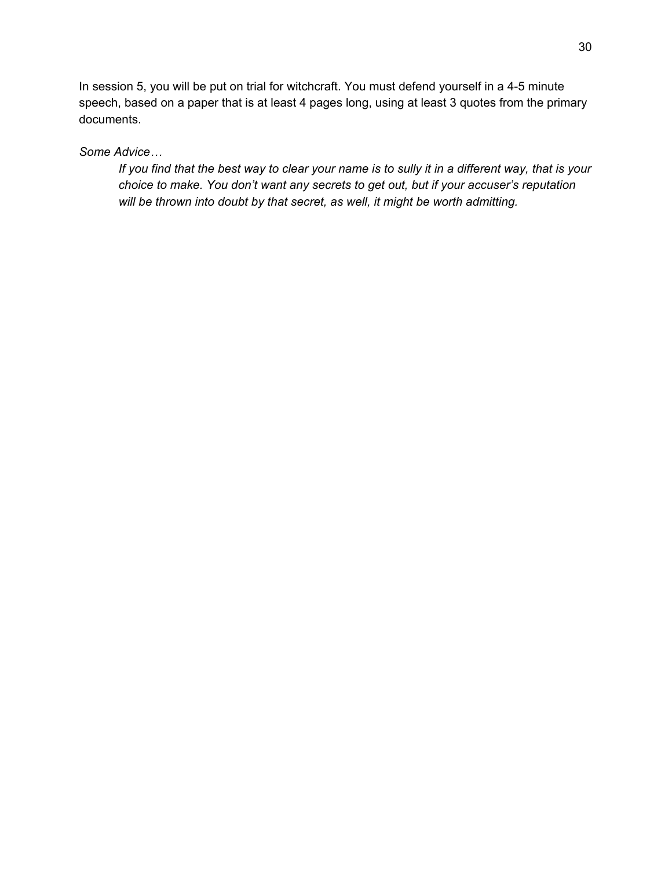In session 5, you will be put on trial for witchcraft. You must defend yourself in a 4-5 minute speech, based on a paper that is at least 4 pages long, using at least 3 quotes from the primary documents.

### *Some Advice…*

If you find that the best way to clear your name is to sully it in a different way, that is your *choice to make. You don't want any secrets to get out, but if your accuser's reputation will be thrown into doubt by that secret, as well, it might be worth admitting.*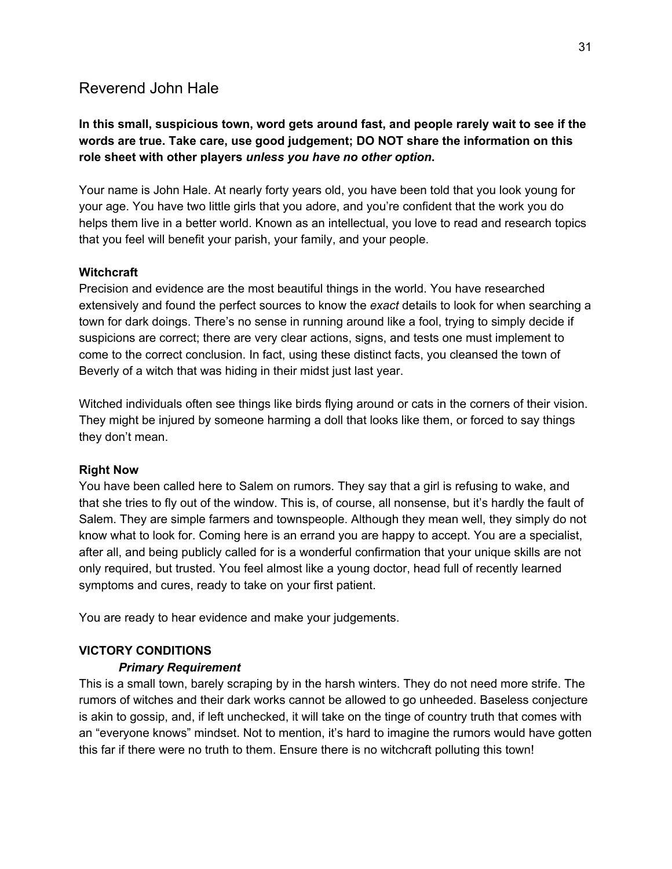# Reverend John Hale

### **In this small, suspicious town, word gets around fast, and people rarely wait to see if the words are true. Take care, use good judgement; DO NOT share the information on this role sheet with other players** *unless you have no other option***.**

Your name is John Hale. At nearly forty years old, you have been told that you look young for your age. You have two little girls that you adore, and you're confident that the work you do helps them live in a better world. Known as an intellectual, you love to read and research topics that you feel will benefit your parish, your family, and your people.

### **Witchcraft**

Precision and evidence are the most beautiful things in the world. You have researched extensively and found the perfect sources to know the *exact* details to look for when searching a town for dark doings. There's no sense in running around like a fool, trying to simply decide if suspicions are correct; there are very clear actions, signs, and tests one must implement to come to the correct conclusion. In fact, using these distinct facts, you cleansed the town of Beverly of a witch that was hiding in their midst just last year.

Witched individuals often see things like birds flying around or cats in the corners of their vision. They might be injured by someone harming a doll that looks like them, or forced to say things they don't mean.

#### **Right Now**

You have been called here to Salem on rumors. They say that a girl is refusing to wake, and that she tries to fly out of the window. This is, of course, all nonsense, but it's hardly the fault of Salem. They are simple farmers and townspeople. Although they mean well, they simply do not know what to look for. Coming here is an errand you are happy to accept. You are a specialist, after all, and being publicly called for is a wonderful confirmation that your unique skills are not only required, but trusted. You feel almost like a young doctor, head full of recently learned symptoms and cures, ready to take on your first patient.

You are ready to hear evidence and make your judgements.

### **VICTORY CONDITIONS**

#### *Primary Requirement*

This is a small town, barely scraping by in the harsh winters. They do not need more strife. The rumors of witches and their dark works cannot be allowed to go unheeded. Baseless conjecture is akin to gossip, and, if left unchecked, it will take on the tinge of country truth that comes with an "everyone knows" mindset. Not to mention, it's hard to imagine the rumors would have gotten this far if there were no truth to them. Ensure there is no witchcraft polluting this town!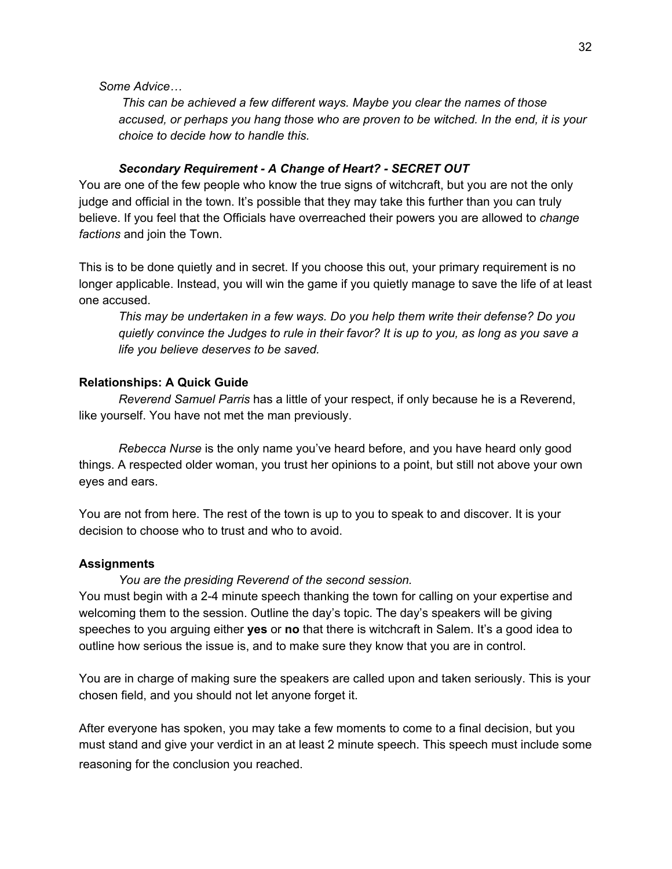#### *Some Advice…*

*This can be achieved a few different ways. Maybe you clear the names of those accused, or perhaps you hang those who are proven to be witched. In the end, it is your choice to decide how to handle this.*

#### *Secondary Requirement - A Change of Heart? - SECRET OUT*

You are one of the few people who know the true signs of witchcraft, but you are not the only judge and official in the town. It's possible that they may take this further than you can truly believe. If you feel that the Officials have overreached their powers you are allowed to *change factions* and join the Town.

This is to be done quietly and in secret. If you choose this out, your primary requirement is no longer applicable. Instead, you will win the game if you quietly manage to save the life of at least one accused.

*This may be undertaken in a few ways. Do you help them write their defense? Do you* quietly convince the Judges to rule in their favor? It is up to you, as long as you save a *life you believe deserves to be saved.*

#### **Relationships: A Quick Guide**

*Reverend Samuel Parris* has a little of your respect, if only because he is a Reverend, like yourself. You have not met the man previously.

*Rebecca Nurse* is the only name you've heard before, and you have heard only good things. A respected older woman, you trust her opinions to a point, but still not above your own eyes and ears.

You are not from here. The rest of the town is up to you to speak to and discover. It is your decision to choose who to trust and who to avoid.

#### **Assignments**

#### *You are the presiding Reverend of the second session.*

You must begin with a 2-4 minute speech thanking the town for calling on your expertise and welcoming them to the session. Outline the day's topic. The day's speakers will be giving speeches to you arguing either **yes** or **no** that there is witchcraft in Salem. It's a good idea to outline how serious the issue is, and to make sure they know that you are in control.

You are in charge of making sure the speakers are called upon and taken seriously. This is your chosen field, and you should not let anyone forget it.

After everyone has spoken, you may take a few moments to come to a final decision, but you must stand and give your verdict in an at least 2 minute speech. This speech must include some reasoning for the conclusion you reached.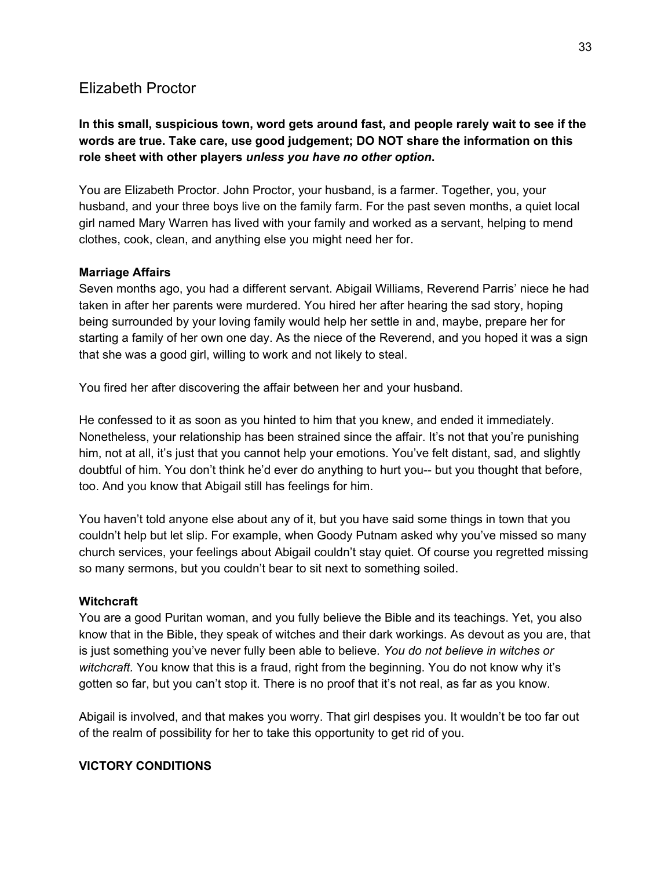# Elizabeth Proctor

### **In this small, suspicious town, word gets around fast, and people rarely wait to see if the words are true. Take care, use good judgement; DO NOT share the information on this role sheet with other players** *unless you have no other option***.**

You are Elizabeth Proctor. John Proctor, your husband, is a farmer. Together, you, your husband, and your three boys live on the family farm. For the past seven months, a quiet local girl named Mary Warren has lived with your family and worked as a servant, helping to mend clothes, cook, clean, and anything else you might need her for.

### **Marriage Affairs**

Seven months ago, you had a different servant. Abigail Williams, Reverend Parris' niece he had taken in after her parents were murdered. You hired her after hearing the sad story, hoping being surrounded by your loving family would help her settle in and, maybe, prepare her for starting a family of her own one day. As the niece of the Reverend, and you hoped it was a sign that she was a good girl, willing to work and not likely to steal.

You fired her after discovering the affair between her and your husband.

He confessed to it as soon as you hinted to him that you knew, and ended it immediately. Nonetheless, your relationship has been strained since the affair. It's not that you're punishing him, not at all, it's just that you cannot help your emotions. You've felt distant, sad, and slightly doubtful of him. You don't think he'd ever do anything to hurt you-- but you thought that before, too. And you know that Abigail still has feelings for him.

You haven't told anyone else about any of it, but you have said some things in town that you couldn't help but let slip. For example, when Goody Putnam asked why you've missed so many church services, your feelings about Abigail couldn't stay quiet. Of course you regretted missing so many sermons, but you couldn't bear to sit next to something soiled.

#### **Witchcraft**

You are a good Puritan woman, and you fully believe the Bible and its teachings. Yet, you also know that in the Bible, they speak of witches and their dark workings. As devout as you are, that is just something you've never fully been able to believe. *You do not believe in witches or witchcraft.* You know that this is a fraud, right from the beginning. You do not know why it's gotten so far, but you can't stop it. There is no proof that it's not real, as far as you know.

Abigail is involved, and that makes you worry. That girl despises you. It wouldn't be too far out of the realm of possibility for her to take this opportunity to get rid of you.

### **VICTORY CONDITIONS**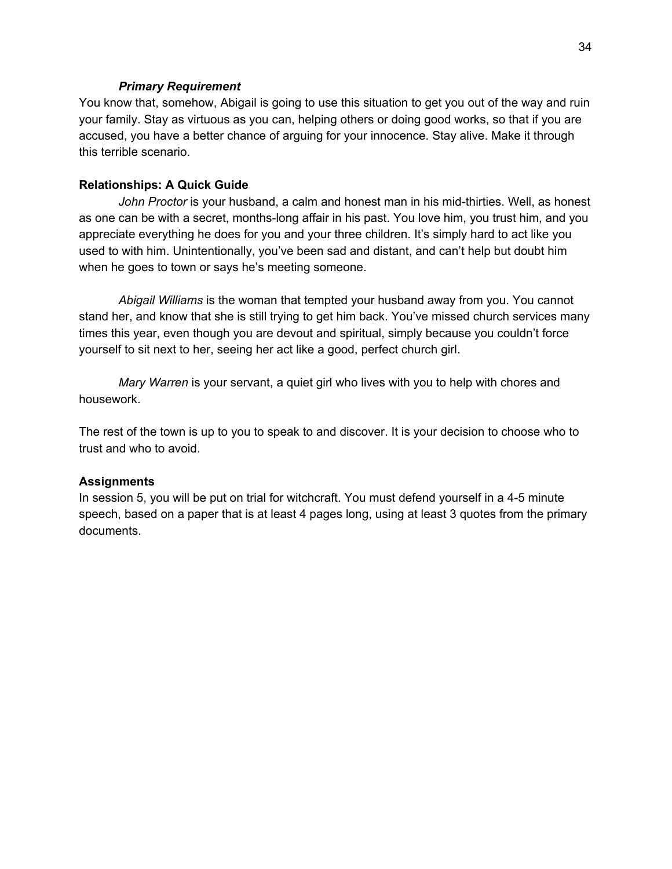#### *Primary Requirement*

You know that, somehow, Abigail is going to use this situation to get you out of the way and ruin your family. Stay as virtuous as you can, helping others or doing good works, so that if you are accused, you have a better chance of arguing for your innocence. Stay alive. Make it through this terrible scenario.

#### **Relationships: A Quick Guide**

*John Proctor* is your husband, a calm and honest man in his mid-thirties. Well, as honest as one can be with a secret, months-long affair in his past. You love him, you trust him, and you appreciate everything he does for you and your three children. It's simply hard to act like you used to with him. Unintentionally, you've been sad and distant, and can't help but doubt him when he goes to town or says he's meeting someone.

*Abigail Williams* is the woman that tempted your husband away from you. You cannot stand her, and know that she is still trying to get him back. You've missed church services many times this year, even though you are devout and spiritual, simply because you couldn't force yourself to sit next to her, seeing her act like a good, perfect church girl.

*Mary Warren* is your servant, a quiet girl who lives with you to help with chores and housework.

The rest of the town is up to you to speak to and discover. It is your decision to choose who to trust and who to avoid.

#### **Assignments**

In session 5, you will be put on trial for witchcraft. You must defend yourself in a 4-5 minute speech, based on a paper that is at least 4 pages long, using at least 3 quotes from the primary documents.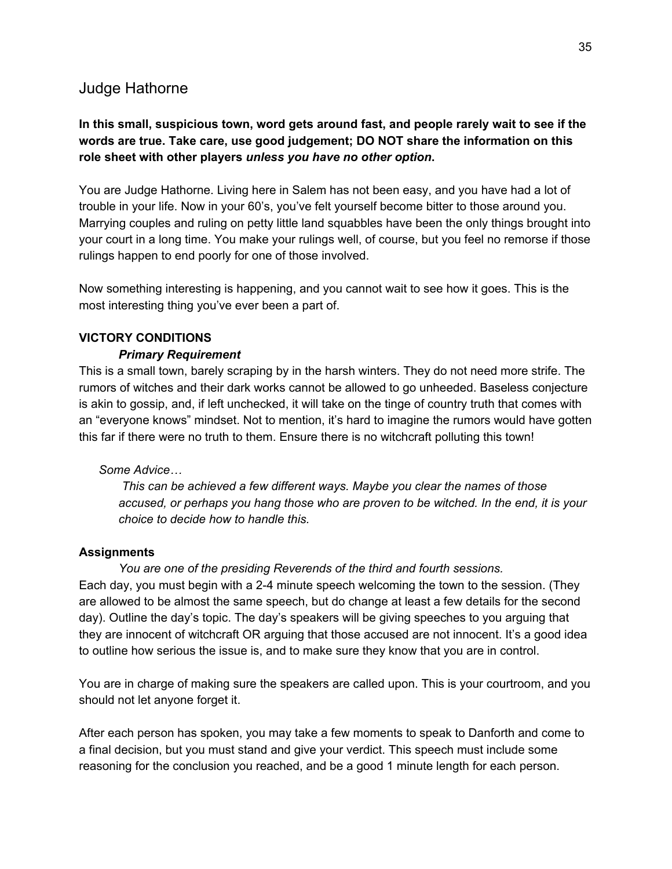### Judge Hathorne

### **In this small, suspicious town, word gets around fast, and people rarely wait to see if the words are true. Take care, use good judgement; DO NOT share the information on this role sheet with other players** *unless you have no other option***.**

You are Judge Hathorne. Living here in Salem has not been easy, and you have had a lot of trouble in your life. Now in your 60's, you've felt yourself become bitter to those around you. Marrying couples and ruling on petty little land squabbles have been the only things brought into your court in a long time. You make your rulings well, of course, but you feel no remorse if those rulings happen to end poorly for one of those involved.

Now something interesting is happening, and you cannot wait to see how it goes. This is the most interesting thing you've ever been a part of.

#### **VICTORY CONDITIONS**

#### *Primary Requirement*

This is a small town, barely scraping by in the harsh winters. They do not need more strife. The rumors of witches and their dark works cannot be allowed to go unheeded. Baseless conjecture is akin to gossip, and, if left unchecked, it will take on the tinge of country truth that comes with an "everyone knows" mindset. Not to mention, it's hard to imagine the rumors would have gotten this far if there were no truth to them. Ensure there is no witchcraft polluting this town!

#### *Some Advice…*

*This can be achieved a few different ways. Maybe you clear the names of those accused, or perhaps you hang those who are proven to be witched. In the end, it is your choice to decide how to handle this.*

#### **Assignments**

*You are one of the presiding Reverends of the third and fourth sessions.* Each day, you must begin with a 2-4 minute speech welcoming the town to the session. (They are allowed to be almost the same speech, but do change at least a few details for the second day). Outline the day's topic. The day's speakers will be giving speeches to you arguing that they are innocent of witchcraft OR arguing that those accused are not innocent. It's a good idea to outline how serious the issue is, and to make sure they know that you are in control.

You are in charge of making sure the speakers are called upon. This is your courtroom, and you should not let anyone forget it.

After each person has spoken, you may take a few moments to speak to Danforth and come to a final decision, but you must stand and give your verdict. This speech must include some reasoning for the conclusion you reached, and be a good 1 minute length for each person.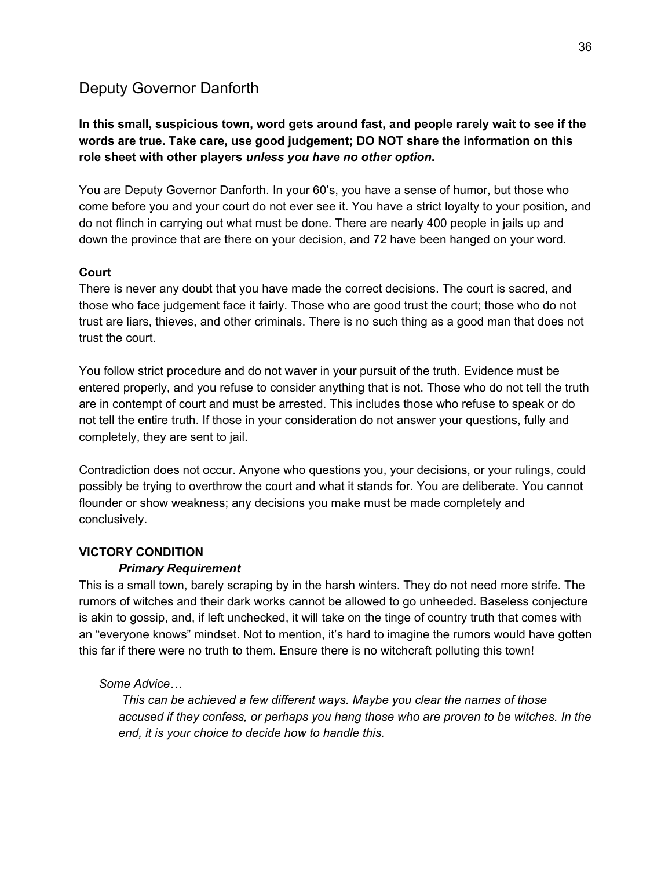# Deputy Governor Danforth

### **In this small, suspicious town, word gets around fast, and people rarely wait to see if the words are true. Take care, use good judgement; DO NOT share the information on this role sheet with other players** *unless you have no other option***.**

You are Deputy Governor Danforth. In your 60's, you have a sense of humor, but those who come before you and your court do not ever see it. You have a strict loyalty to your position, and do not flinch in carrying out what must be done. There are nearly 400 people in jails up and down the province that are there on your decision, and 72 have been hanged on your word.

### **Court**

There is never any doubt that you have made the correct decisions. The court is sacred, and those who face judgement face it fairly. Those who are good trust the court; those who do not trust are liars, thieves, and other criminals. There is no such thing as a good man that does not trust the court.

You follow strict procedure and do not waver in your pursuit of the truth. Evidence must be entered properly, and you refuse to consider anything that is not. Those who do not tell the truth are in contempt of court and must be arrested. This includes those who refuse to speak or do not tell the entire truth. If those in your consideration do not answer your questions, fully and completely, they are sent to jail.

Contradiction does not occur. Anyone who questions you, your decisions, or your rulings, could possibly be trying to overthrow the court and what it stands for. You are deliberate. You cannot flounder or show weakness; any decisions you make must be made completely and conclusively.

### **VICTORY CONDITION**

#### *Primary Requirement*

This is a small town, barely scraping by in the harsh winters. They do not need more strife. The rumors of witches and their dark works cannot be allowed to go unheeded. Baseless conjecture is akin to gossip, and, if left unchecked, it will take on the tinge of country truth that comes with an "everyone knows" mindset. Not to mention, it's hard to imagine the rumors would have gotten this far if there were no truth to them. Ensure there is no witchcraft polluting this town!

#### *Some Advice…*

*This can be achieved a few different ways. Maybe you clear the names of those accused if they confess, or perhaps you hang those who are proven to be witches. In the end, it is your choice to decide how to handle this.*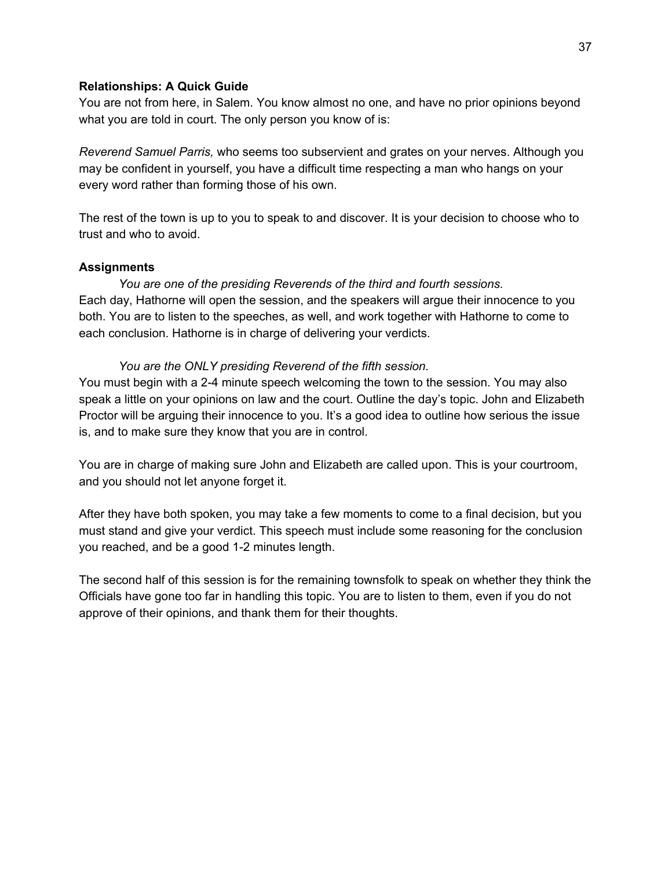#### **Relationships: A Quick Guide**

You are not from here, in Salem. You know almost no one, and have no prior opinions beyond what you are told in court. The only person you know of is:

*Reverend Samuel Parris,* who seems too subservient and grates on your nerves. Although you may be confident in yourself, you have a difficult time respecting a man who hangs on your every word rather than forming those of his own.

The rest of the town is up to you to speak to and discover. It is your decision to choose who to trust and who to avoid.

#### **Assignments**

*You are one of the presiding Reverends of the third and fourth sessions.* Each day, Hathorne will open the session, and the speakers will argue their innocence to you both. You are to listen to the speeches, as well, and work together with Hathorne to come to each conclusion. Hathorne is in charge of delivering your verdicts.

#### *You are the ONLY presiding Reverend of the fifth session.*

You must begin with a 2-4 minute speech welcoming the town to the session. You may also speak a little on your opinions on law and the court. Outline the day's topic. John and Elizabeth Proctor will be arguing their innocence to you. It's a good idea to outline how serious the issue is, and to make sure they know that you are in control.

You are in charge of making sure John and Elizabeth are called upon. This is your courtroom, and you should not let anyone forget it.

After they have both spoken, you may take a few moments to come to a final decision, but you must stand and give your verdict. This speech must include some reasoning for the conclusion you reached, and be a good 1-2 minutes length.

The second half of this session is for the remaining townsfolk to speak on whether they think the Officials have gone too far in handling this topic. You are to listen to them, even if you do not approve of their opinions, and thank them for their thoughts.